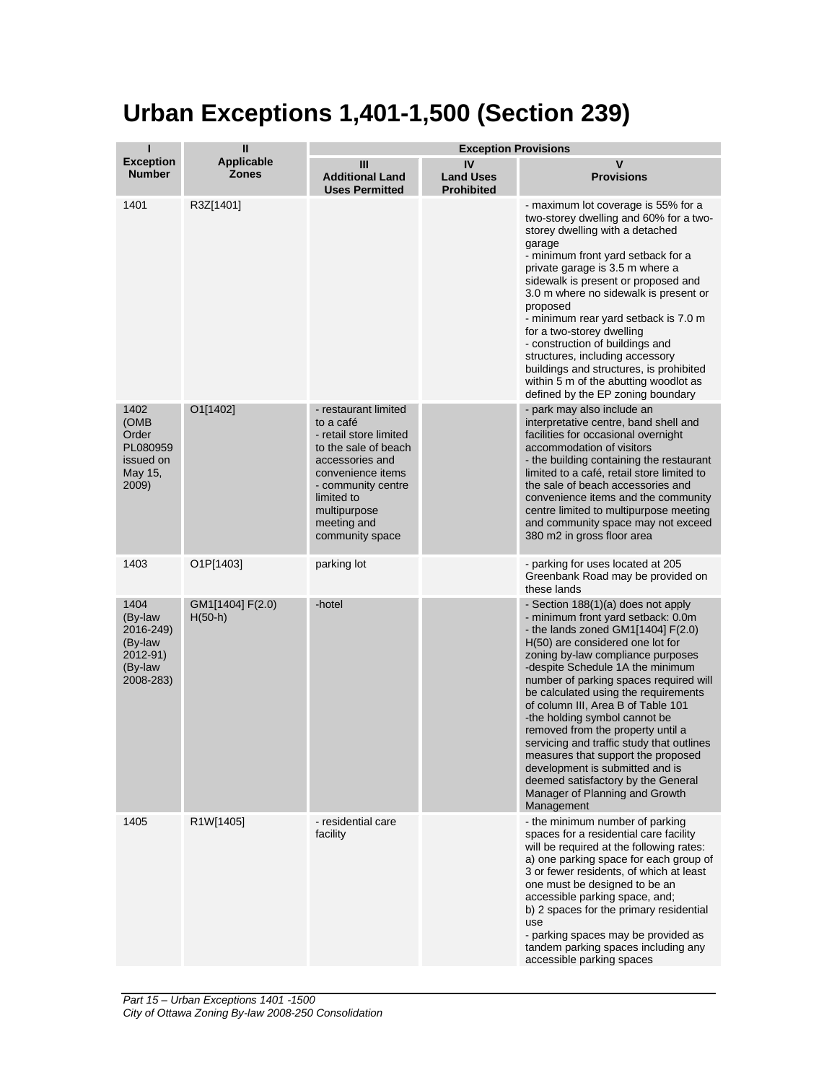## **Urban Exceptions 1,401-1,500 (Section 239)**

|                                                                             | Ш                                 | <b>Exception Provisions</b>                                                                                                                                                                                       |                                             |                                                                                                                                                                                                                                                                                                                                                                                                                                                                                                                                                                                                                                             |  |
|-----------------------------------------------------------------------------|-----------------------------------|-------------------------------------------------------------------------------------------------------------------------------------------------------------------------------------------------------------------|---------------------------------------------|---------------------------------------------------------------------------------------------------------------------------------------------------------------------------------------------------------------------------------------------------------------------------------------------------------------------------------------------------------------------------------------------------------------------------------------------------------------------------------------------------------------------------------------------------------------------------------------------------------------------------------------------|--|
| <b>Exception</b><br><b>Number</b>                                           | <b>Applicable</b><br><b>Zones</b> | Ш<br><b>Additional Land</b><br><b>Uses Permitted</b>                                                                                                                                                              | IV<br><b>Land Uses</b><br><b>Prohibited</b> | V<br><b>Provisions</b>                                                                                                                                                                                                                                                                                                                                                                                                                                                                                                                                                                                                                      |  |
| 1401                                                                        | R3Z[1401]                         |                                                                                                                                                                                                                   |                                             | - maximum lot coverage is 55% for a<br>two-storey dwelling and 60% for a two-<br>storey dwelling with a detached<br>garage<br>- minimum front yard setback for a<br>private garage is 3.5 m where a<br>sidewalk is present or proposed and<br>3.0 m where no sidewalk is present or<br>proposed<br>- minimum rear yard setback is 7.0 m<br>for a two-storey dwelling<br>- construction of buildings and<br>structures, including accessory<br>buildings and structures, is prohibited<br>within 5 m of the abutting woodlot as<br>defined by the EP zoning boundary                                                                         |  |
| 1402<br>(OMB<br>Order<br>PL080959<br>issued on<br>May 15,<br>2009)          | O1[1402]                          | - restaurant limited<br>to a café<br>- retail store limited<br>to the sale of beach<br>accessories and<br>convenience items<br>- community centre<br>limited to<br>multipurpose<br>meeting and<br>community space |                                             | - park may also include an<br>interpretative centre, band shell and<br>facilities for occasional overnight<br>accommodation of visitors<br>- the building containing the restaurant<br>limited to a café, retail store limited to<br>the sale of beach accessories and<br>convenience items and the community<br>centre limited to multipurpose meeting<br>and community space may not exceed<br>380 m2 in gross floor area                                                                                                                                                                                                                 |  |
| 1403                                                                        | O1P[1403]                         | parking lot                                                                                                                                                                                                       |                                             | - parking for uses located at 205<br>Greenbank Road may be provided on<br>these lands                                                                                                                                                                                                                                                                                                                                                                                                                                                                                                                                                       |  |
| 1404<br>(By-law<br>2016-249)<br>(By-law<br>2012-91)<br>(By-law<br>2008-283) | GM1[1404] F(2.0)<br>$H(50-h)$     | -hotel                                                                                                                                                                                                            |                                             | - Section 188(1)(a) does not apply<br>- minimum front yard setback: 0.0m<br>- the lands zoned GM1 $[1404]$ F $(2.0)$<br>H(50) are considered one lot for<br>zoning by-law compliance purposes<br>-despite Schedule 1A the minimum<br>number of parking spaces required will<br>be calculated using the requirements<br>of column III, Area B of Table 101<br>-the holding symbol cannot be<br>removed from the property until a<br>servicing and traffic study that outlines<br>measures that support the proposed<br>development is submitted and is<br>deemed satisfactory by the General<br>Manager of Planning and Growth<br>Management |  |
| 1405                                                                        | R1W[1405]                         | - residential care<br>facility                                                                                                                                                                                    |                                             | - the minimum number of parking<br>spaces for a residential care facility<br>will be required at the following rates:<br>a) one parking space for each group of<br>3 or fewer residents, of which at least<br>one must be designed to be an<br>accessible parking space, and;<br>b) 2 spaces for the primary residential<br>use<br>- parking spaces may be provided as<br>tandem parking spaces including any<br>accessible parking spaces                                                                                                                                                                                                  |  |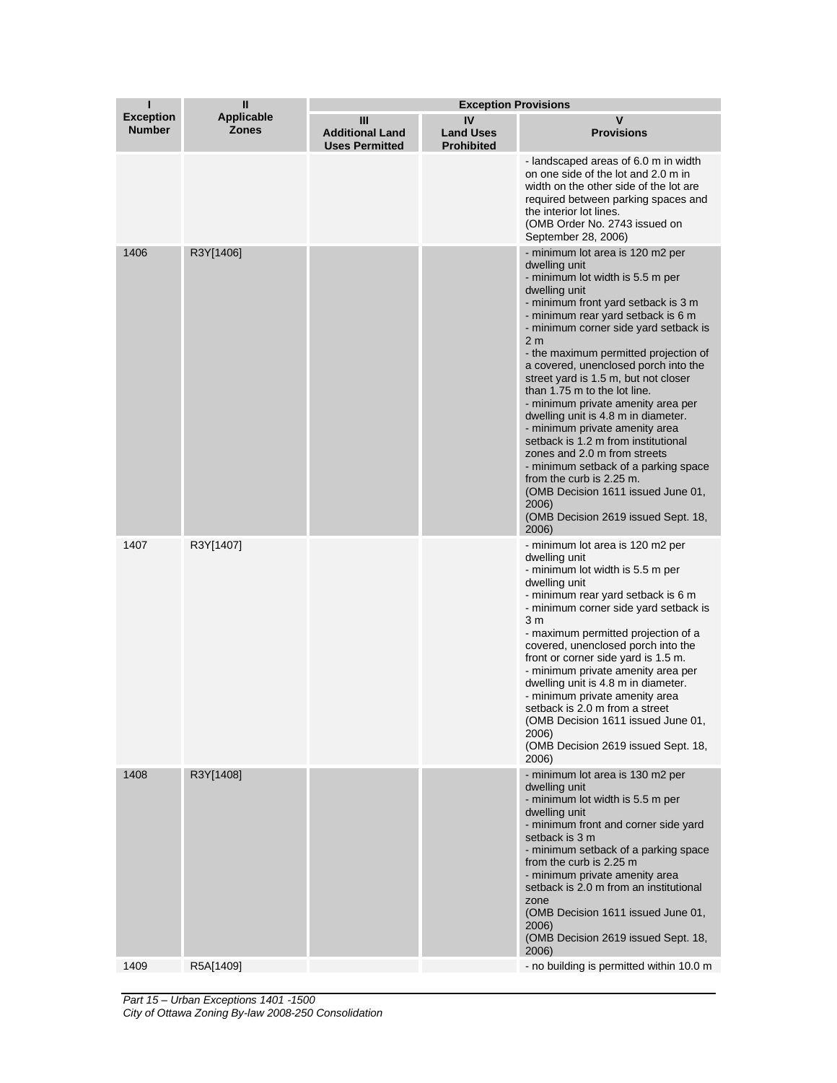| т                                 | $\mathbf{I}$                      | <b>Exception Provisions</b>                          |                                             |                                                                                                                                                                                                                                                                                                                                                                                                                                                                                                                                                                                                                                                                                                                                                                  |
|-----------------------------------|-----------------------------------|------------------------------------------------------|---------------------------------------------|------------------------------------------------------------------------------------------------------------------------------------------------------------------------------------------------------------------------------------------------------------------------------------------------------------------------------------------------------------------------------------------------------------------------------------------------------------------------------------------------------------------------------------------------------------------------------------------------------------------------------------------------------------------------------------------------------------------------------------------------------------------|
| <b>Exception</b><br><b>Number</b> | <b>Applicable</b><br><b>Zones</b> | Ш<br><b>Additional Land</b><br><b>Uses Permitted</b> | IV<br><b>Land Uses</b><br><b>Prohibited</b> | v<br><b>Provisions</b>                                                                                                                                                                                                                                                                                                                                                                                                                                                                                                                                                                                                                                                                                                                                           |
|                                   |                                   |                                                      |                                             | - landscaped areas of 6.0 m in width<br>on one side of the lot and 2.0 m in<br>width on the other side of the lot are<br>required between parking spaces and<br>the interior lot lines.<br>(OMB Order No. 2743 issued on<br>September 28, 2006)                                                                                                                                                                                                                                                                                                                                                                                                                                                                                                                  |
| 1406                              | R3Y[1406]                         |                                                      |                                             | - minimum lot area is 120 m2 per<br>dwelling unit<br>- minimum lot width is 5.5 m per<br>dwelling unit<br>- minimum front yard setback is 3 m<br>- minimum rear yard setback is 6 m<br>- minimum corner side yard setback is<br>2 <sub>m</sub><br>- the maximum permitted projection of<br>a covered, unenclosed porch into the<br>street yard is 1.5 m, but not closer<br>than 1.75 m to the lot line.<br>- minimum private amenity area per<br>dwelling unit is 4.8 m in diameter.<br>- minimum private amenity area<br>setback is 1.2 m from institutional<br>zones and 2.0 m from streets<br>- minimum setback of a parking space<br>from the curb is 2.25 m.<br>(OMB Decision 1611 issued June 01,<br>2006)<br>(OMB Decision 2619 issued Sept. 18,<br>2006) |
| 1407                              | R3Y[1407]                         |                                                      |                                             | - minimum lot area is 120 m2 per<br>dwelling unit<br>- minimum lot width is 5.5 m per<br>dwelling unit<br>- minimum rear yard setback is 6 m<br>- minimum corner side yard setback is<br>3 <sub>m</sub><br>- maximum permitted projection of a<br>covered, unenclosed porch into the<br>front or corner side yard is 1.5 m.<br>- minimum private amenity area per<br>dwelling unit is 4.8 m in diameter.<br>- minimum private amenity area<br>setback is 2.0 m from a street<br>(OMB Decision 1611 issued June 01,<br>2006)<br>(OMB Decision 2619 issued Sept. 18,<br>2006)                                                                                                                                                                                      |
| 1408                              | R3Y[1408]                         |                                                      |                                             | - minimum lot area is 130 m2 per<br>dwelling unit<br>- minimum lot width is 5.5 m per<br>dwelling unit<br>- minimum front and corner side yard<br>setback is 3 m<br>- minimum setback of a parking space<br>from the curb is 2.25 m<br>- minimum private amenity area<br>setback is 2.0 m from an institutional<br>zone<br>(OMB Decision 1611 issued June 01,<br>2006)<br>(OMB Decision 2619 issued Sept. 18,<br>2006)                                                                                                                                                                                                                                                                                                                                           |
| 1409                              | R5A[1409]                         |                                                      |                                             | - no building is permitted within 10.0 m                                                                                                                                                                                                                                                                                                                                                                                                                                                                                                                                                                                                                                                                                                                         |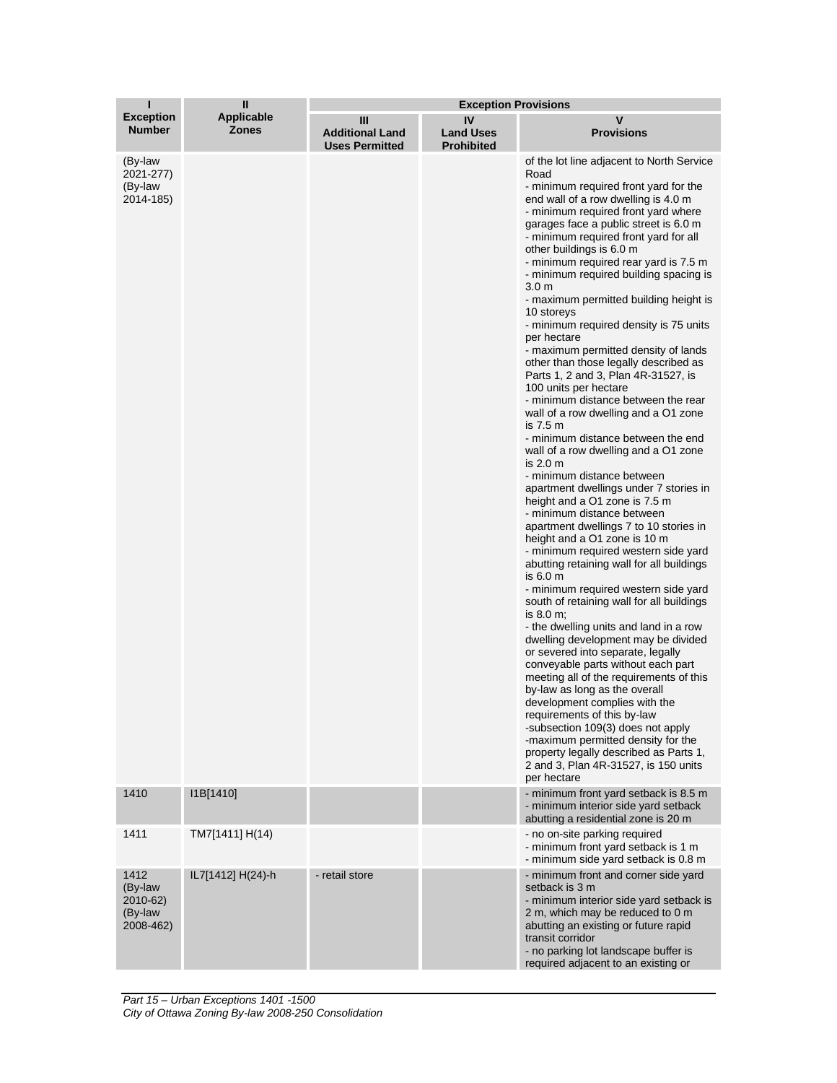| ı                                                   | Ш                                 | <b>Exception Provisions</b>                          |                                             |                                                                                                                                                                                                                                                                                                                                                                                                                                                                                                                                                                                                                                                                                                                                                                                                                                                                                                                                                                                                                                                                                                                                                                                                                                                                                                                                                                                                                                                                                                                                                                                                                                                                                                                                                                           |  |
|-----------------------------------------------------|-----------------------------------|------------------------------------------------------|---------------------------------------------|---------------------------------------------------------------------------------------------------------------------------------------------------------------------------------------------------------------------------------------------------------------------------------------------------------------------------------------------------------------------------------------------------------------------------------------------------------------------------------------------------------------------------------------------------------------------------------------------------------------------------------------------------------------------------------------------------------------------------------------------------------------------------------------------------------------------------------------------------------------------------------------------------------------------------------------------------------------------------------------------------------------------------------------------------------------------------------------------------------------------------------------------------------------------------------------------------------------------------------------------------------------------------------------------------------------------------------------------------------------------------------------------------------------------------------------------------------------------------------------------------------------------------------------------------------------------------------------------------------------------------------------------------------------------------------------------------------------------------------------------------------------------------|--|
| <b>Exception</b><br><b>Number</b>                   | <b>Applicable</b><br><b>Zones</b> | Ш<br><b>Additional Land</b><br><b>Uses Permitted</b> | IV<br><b>Land Uses</b><br><b>Prohibited</b> | v<br><b>Provisions</b>                                                                                                                                                                                                                                                                                                                                                                                                                                                                                                                                                                                                                                                                                                                                                                                                                                                                                                                                                                                                                                                                                                                                                                                                                                                                                                                                                                                                                                                                                                                                                                                                                                                                                                                                                    |  |
| (By-law<br>2021-277)<br>(By-law<br>2014-185)        |                                   |                                                      |                                             | of the lot line adjacent to North Service<br>Road<br>- minimum required front yard for the<br>end wall of a row dwelling is 4.0 m<br>- minimum required front yard where<br>garages face a public street is 6.0 m<br>- minimum required front yard for all<br>other buildings is 6.0 m<br>- minimum required rear yard is 7.5 m<br>- minimum required building spacing is<br>3.0 <sub>m</sub><br>- maximum permitted building height is<br>10 storeys<br>- minimum required density is 75 units<br>per hectare<br>- maximum permitted density of lands<br>other than those legally described as<br>Parts 1, 2 and 3, Plan 4R-31527, is<br>100 units per hectare<br>- minimum distance between the rear<br>wall of a row dwelling and a O1 zone<br>is $7.5m$<br>- minimum distance between the end<br>wall of a row dwelling and a O1 zone<br>is $2.0m$<br>- minimum distance between<br>apartment dwellings under 7 stories in<br>height and a O1 zone is 7.5 m<br>- minimum distance between<br>apartment dwellings 7 to 10 stories in<br>height and a O1 zone is 10 m<br>- minimum required western side yard<br>abutting retaining wall for all buildings<br>is 6.0 m<br>- minimum required western side yard<br>south of retaining wall for all buildings<br>is $8.0 \text{ m}$ ;<br>- the dwelling units and land in a row<br>dwelling development may be divided<br>or severed into separate, legally<br>conveyable parts without each part<br>meeting all of the requirements of this<br>by-law as long as the overall<br>development complies with the<br>requirements of this by-law<br>-subsection 109(3) does not apply<br>-maximum permitted density for the<br>property legally described as Parts 1,<br>2 and 3, Plan 4R-31527, is 150 units<br>per hectare |  |
| 1410                                                | I1B[1410]                         |                                                      |                                             | - minimum front yard setback is 8.5 m<br>- minimum interior side yard setback<br>abutting a residential zone is 20 m                                                                                                                                                                                                                                                                                                                                                                                                                                                                                                                                                                                                                                                                                                                                                                                                                                                                                                                                                                                                                                                                                                                                                                                                                                                                                                                                                                                                                                                                                                                                                                                                                                                      |  |
| 1411                                                | TM7[1411] H(14)                   |                                                      |                                             | - no on-site parking required<br>- minimum front yard setback is 1 m<br>- minimum side yard setback is 0.8 m                                                                                                                                                                                                                                                                                                                                                                                                                                                                                                                                                                                                                                                                                                                                                                                                                                                                                                                                                                                                                                                                                                                                                                                                                                                                                                                                                                                                                                                                                                                                                                                                                                                              |  |
| 1412<br>(By-law<br>2010-62)<br>(By-law<br>2008-462) | IL7[1412] H(24)-h                 | - retail store                                       |                                             | - minimum front and corner side yard<br>setback is 3 m<br>- minimum interior side yard setback is<br>2 m, which may be reduced to 0 m<br>abutting an existing or future rapid<br>transit corridor<br>- no parking lot landscape buffer is<br>required adjacent to an existing or                                                                                                                                                                                                                                                                                                                                                                                                                                                                                                                                                                                                                                                                                                                                                                                                                                                                                                                                                                                                                                                                                                                                                                                                                                                                                                                                                                                                                                                                                          |  |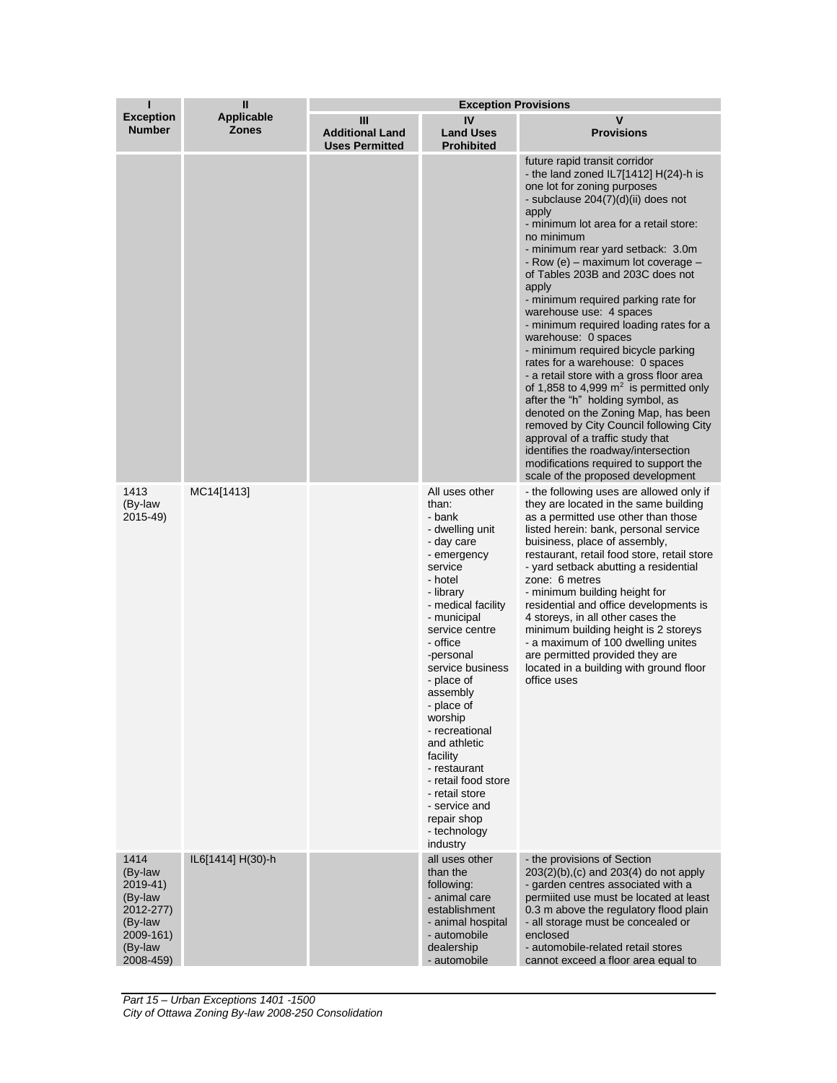| ı                                                                                                     | Ш                          | <b>Exception Provisions</b>                          |                                                                                                                                                                                                                                                                                                                                                                                                                                                |                                                                                                                                                                                                                                                                                                                                                                                                                                                                                                                                                                                                                                                                                                                                                                                                                                                                                                                             |  |
|-------------------------------------------------------------------------------------------------------|----------------------------|------------------------------------------------------|------------------------------------------------------------------------------------------------------------------------------------------------------------------------------------------------------------------------------------------------------------------------------------------------------------------------------------------------------------------------------------------------------------------------------------------------|-----------------------------------------------------------------------------------------------------------------------------------------------------------------------------------------------------------------------------------------------------------------------------------------------------------------------------------------------------------------------------------------------------------------------------------------------------------------------------------------------------------------------------------------------------------------------------------------------------------------------------------------------------------------------------------------------------------------------------------------------------------------------------------------------------------------------------------------------------------------------------------------------------------------------------|--|
| <b>Exception</b><br><b>Number</b>                                                                     | Applicable<br><b>Zones</b> | Ш<br><b>Additional Land</b><br><b>Uses Permitted</b> | IV<br><b>Land Uses</b><br><b>Prohibited</b>                                                                                                                                                                                                                                                                                                                                                                                                    | v<br><b>Provisions</b>                                                                                                                                                                                                                                                                                                                                                                                                                                                                                                                                                                                                                                                                                                                                                                                                                                                                                                      |  |
|                                                                                                       |                            |                                                      |                                                                                                                                                                                                                                                                                                                                                                                                                                                | future rapid transit corridor<br>- the land zoned $IL7[1412] H(24)$ -h is<br>one lot for zoning purposes<br>- subclause 204(7)(d)(ii) does not<br>apply<br>- minimum lot area for a retail store:<br>no minimum<br>- minimum rear yard setback: 3.0m<br>- Row $(e)$ – maximum lot coverage –<br>of Tables 203B and 203C does not<br>apply<br>- minimum required parking rate for<br>warehouse use: 4 spaces<br>- minimum required loading rates for a<br>warehouse: 0 spaces<br>- minimum required bicycle parking<br>rates for a warehouse: 0 spaces<br>- a retail store with a gross floor area<br>of 1,858 to 4,999 $m2$ is permitted only<br>after the "h" holding symbol, as<br>denoted on the Zoning Map, has been<br>removed by City Council following City<br>approval of a traffic study that<br>identifies the roadway/intersection<br>modifications required to support the<br>scale of the proposed development |  |
| 1413<br>(By-law<br>2015-49)                                                                           | MC14[1413]                 |                                                      | All uses other<br>than:<br>- bank<br>- dwelling unit<br>- day care<br>- emergency<br>service<br>- hotel<br>- library<br>- medical facility<br>- municipal<br>service centre<br>- office<br>-personal<br>service business<br>- place of<br>assembly<br>- place of<br>worship<br>- recreational<br>and athletic<br>facility<br>- restaurant<br>- retail food store<br>- retail store<br>- service and<br>repair shop<br>- technology<br>industry | - the following uses are allowed only if<br>they are located in the same building<br>as a permitted use other than those<br>listed herein: bank, personal service<br>buisiness, place of assembly,<br>restaurant, retail food store, retail store<br>- yard setback abutting a residential<br>zone: 6 metres<br>- minimum building height for<br>residential and office developments is<br>4 storeys, in all other cases the<br>minimum building height is 2 storeys<br>- a maximum of 100 dwelling unites<br>are permitted provided they are<br>located in a building with ground floor<br>office uses                                                                                                                                                                                                                                                                                                                     |  |
| 1414<br>(By-law)<br>$2019-41$<br>(By-law<br>2012-277)<br>(By-law<br>2009-161)<br>(By-law<br>2008-459) | IL6[1414] H(30)-h          |                                                      | all uses other<br>than the<br>following:<br>- animal care<br>establishment<br>- animal hospital<br>- automobile<br>dealership<br>- automobile                                                                                                                                                                                                                                                                                                  | - the provisions of Section<br>$203(2)(b)$ , (c) and $203(4)$ do not apply<br>- garden centres associated with a<br>permiited use must be located at least<br>0.3 m above the regulatory flood plain<br>- all storage must be concealed or<br>enclosed<br>- automobile-related retail stores<br>cannot exceed a floor area equal to                                                                                                                                                                                                                                                                                                                                                                                                                                                                                                                                                                                         |  |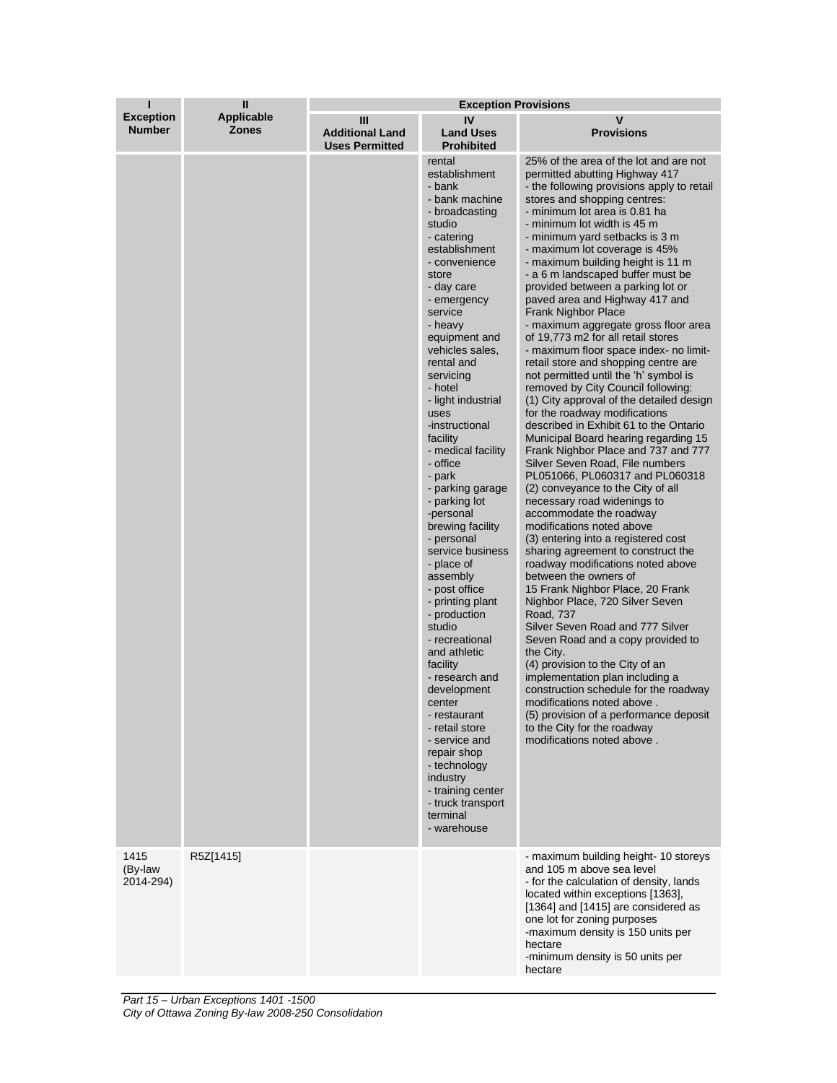| ı                                 | Ш                                 | <b>Exception Provisions</b>                          |                                                                                                                                                                                                                                                                                                                                                                                                                                                                                                                                                                                                                                                                                                                                                                                                                                            |                                                                                                                                                                                                                                                                                                                                                                                                                                                                                                                                                                                                                                                                                                                                                                                                                                                                                                                                                                                                                                                                                                                                                                                                                                                                                                                                                                                                                                                                                                                                                                                                                                                                                                          |  |
|-----------------------------------|-----------------------------------|------------------------------------------------------|--------------------------------------------------------------------------------------------------------------------------------------------------------------------------------------------------------------------------------------------------------------------------------------------------------------------------------------------------------------------------------------------------------------------------------------------------------------------------------------------------------------------------------------------------------------------------------------------------------------------------------------------------------------------------------------------------------------------------------------------------------------------------------------------------------------------------------------------|----------------------------------------------------------------------------------------------------------------------------------------------------------------------------------------------------------------------------------------------------------------------------------------------------------------------------------------------------------------------------------------------------------------------------------------------------------------------------------------------------------------------------------------------------------------------------------------------------------------------------------------------------------------------------------------------------------------------------------------------------------------------------------------------------------------------------------------------------------------------------------------------------------------------------------------------------------------------------------------------------------------------------------------------------------------------------------------------------------------------------------------------------------------------------------------------------------------------------------------------------------------------------------------------------------------------------------------------------------------------------------------------------------------------------------------------------------------------------------------------------------------------------------------------------------------------------------------------------------------------------------------------------------------------------------------------------------|--|
| <b>Exception</b><br><b>Number</b> | <b>Applicable</b><br><b>Zones</b> | Ш<br><b>Additional Land</b><br><b>Uses Permitted</b> | IV<br><b>Land Uses</b><br><b>Prohibited</b>                                                                                                                                                                                                                                                                                                                                                                                                                                                                                                                                                                                                                                                                                                                                                                                                | v<br><b>Provisions</b>                                                                                                                                                                                                                                                                                                                                                                                                                                                                                                                                                                                                                                                                                                                                                                                                                                                                                                                                                                                                                                                                                                                                                                                                                                                                                                                                                                                                                                                                                                                                                                                                                                                                                   |  |
|                                   |                                   |                                                      | rental<br>establishment<br>- bank<br>- bank machine<br>- broadcasting<br>studio<br>- catering<br>establishment<br>- convenience<br>store<br>- day care<br>- emergency<br>service<br>- heavy<br>equipment and<br>vehicles sales,<br>rental and<br>servicing<br>- hotel<br>- light industrial<br>uses<br>-instructional<br>facility<br>- medical facility<br>- office<br>- park<br>- parking garage<br>- parking lot<br>-personal<br>brewing facility<br>- personal<br>service business<br>- place of<br>assembly<br>- post office<br>- printing plant<br>- production<br>studio<br>- recreational<br>and athletic<br>facility<br>- research and<br>development<br>center<br>- restaurant<br>- retail store<br>- service and<br>repair shop<br>- technology<br>industry<br>- training center<br>- truck transport<br>terminal<br>- warehouse | 25% of the area of the lot and are not<br>permitted abutting Highway 417<br>- the following provisions apply to retail<br>stores and shopping centres:<br>- minimum lot area is 0.81 ha<br>- minimum lot width is 45 m<br>- minimum yard setbacks is 3 m<br>- maximum lot coverage is 45%<br>- maximum building height is 11 m<br>- a 6 m landscaped buffer must be<br>provided between a parking lot or<br>paved area and Highway 417 and<br><b>Frank Nighbor Place</b><br>- maximum aggregate gross floor area<br>of 19,773 m2 for all retail stores<br>- maximum floor space index- no limit-<br>retail store and shopping centre are<br>not permitted until the 'h' symbol is<br>removed by City Council following:<br>(1) City approval of the detailed design<br>for the roadway modifications<br>described in Exhibit 61 to the Ontario<br>Municipal Board hearing regarding 15<br>Frank Nighbor Place and 737 and 777<br>Silver Seven Road, File numbers<br>PL051066, PL060317 and PL060318<br>(2) conveyance to the City of all<br>necessary road widenings to<br>accommodate the roadway<br>modifications noted above<br>(3) entering into a registered cost<br>sharing agreement to construct the<br>roadway modifications noted above<br>between the owners of<br>15 Frank Nighbor Place, 20 Frank<br>Nighbor Place, 720 Silver Seven<br>Road, 737<br>Silver Seven Road and 777 Silver<br>Seven Road and a copy provided to<br>the City.<br>(4) provision to the City of an<br>implementation plan including a<br>construction schedule for the roadway<br>modifications noted above.<br>(5) provision of a performance deposit<br>to the City for the roadway<br>modifications noted above. |  |
| 1415<br>(By-law<br>2014-294)      | R5Z[1415]                         |                                                      |                                                                                                                                                                                                                                                                                                                                                                                                                                                                                                                                                                                                                                                                                                                                                                                                                                            | - maximum building height-10 storeys<br>and 105 m above sea level<br>- for the calculation of density, lands<br>located within exceptions [1363],<br>[1364] and [1415] are considered as<br>one lot for zoning purposes<br>-maximum density is 150 units per<br>hectare<br>-minimum density is 50 units per<br>hectare                                                                                                                                                                                                                                                                                                                                                                                                                                                                                                                                                                                                                                                                                                                                                                                                                                                                                                                                                                                                                                                                                                                                                                                                                                                                                                                                                                                   |  |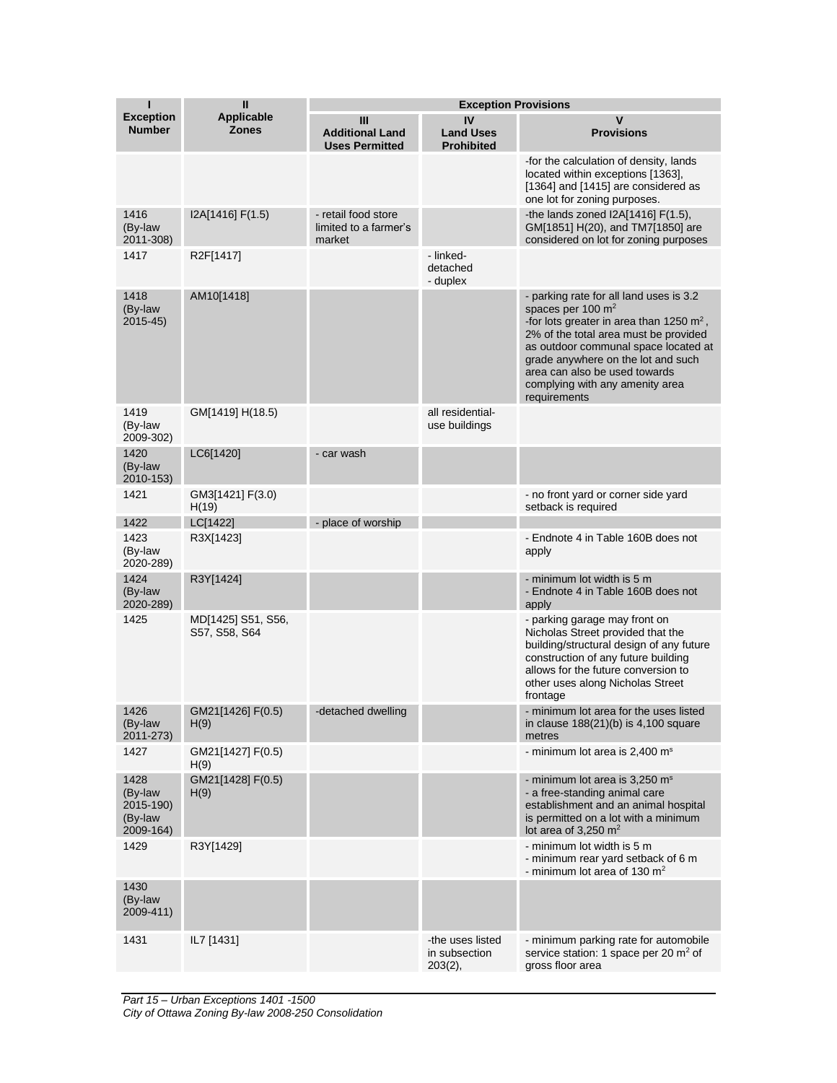| ı                                                    | $\mathbf{I}$                        | <b>Exception Provisions</b>                            |                                                 |                                                                                                                                                                                                                                                                                                                          |
|------------------------------------------------------|-------------------------------------|--------------------------------------------------------|-------------------------------------------------|--------------------------------------------------------------------------------------------------------------------------------------------------------------------------------------------------------------------------------------------------------------------------------------------------------------------------|
| <b>Exception</b><br><b>Number</b>                    | <b>Applicable</b><br><b>Zones</b>   | Ш<br><b>Additional Land</b><br><b>Uses Permitted</b>   | IV<br><b>Land Uses</b><br><b>Prohibited</b>     | V<br><b>Provisions</b>                                                                                                                                                                                                                                                                                                   |
|                                                      |                                     |                                                        |                                                 | -for the calculation of density, lands<br>located within exceptions [1363].<br>[1364] and [1415] are considered as<br>one lot for zoning purposes.                                                                                                                                                                       |
| 1416<br>(By-law<br>2011-308)                         | I2A[1416] F(1.5)                    | - retail food store<br>limited to a farmer's<br>market |                                                 | -the lands zoned $12A[1416] F(1.5)$ ,<br>GM[1851] H(20), and TM7[1850] are<br>considered on lot for zoning purposes                                                                                                                                                                                                      |
| 1417                                                 | R2F[1417]                           |                                                        | - linked-<br>detached<br>- duplex               |                                                                                                                                                                                                                                                                                                                          |
| 1418<br>(By-law<br>$2015 - 45$                       | AM10[1418]                          |                                                        |                                                 | - parking rate for all land uses is 3.2<br>spaces per 100 $m2$<br>-for lots greater in area than 1250 $m^2$ ,<br>2% of the total area must be provided<br>as outdoor communal space located at<br>grade anywhere on the lot and such<br>area can also be used towards<br>complying with any amenity area<br>requirements |
| 1419<br>(By-law<br>2009-302)                         | GM[1419] H(18.5)                    |                                                        | all residential-<br>use buildings               |                                                                                                                                                                                                                                                                                                                          |
| 1420<br>(By-law<br>2010-153)                         | LC6[1420]                           | - car wash                                             |                                                 |                                                                                                                                                                                                                                                                                                                          |
| 1421                                                 | GM3[1421] F(3.0)<br>H(19)           |                                                        |                                                 | - no front yard or corner side yard<br>setback is required                                                                                                                                                                                                                                                               |
| 1422                                                 | LC[1422]                            | - place of worship                                     |                                                 |                                                                                                                                                                                                                                                                                                                          |
| 1423<br>(By-law<br>2020-289)                         | R3X[1423]                           |                                                        |                                                 | - Endnote 4 in Table 160B does not<br>apply                                                                                                                                                                                                                                                                              |
| 1424<br>(By-law<br>2020-289)                         | R3Y[1424]                           |                                                        |                                                 | - minimum lot width is 5 m<br>- Endnote 4 in Table 160B does not<br>apply                                                                                                                                                                                                                                                |
| 1425                                                 | MD[1425] S51, S56,<br>S57, S58, S64 |                                                        |                                                 | - parking garage may front on<br>Nicholas Street provided that the<br>building/structural design of any future<br>construction of any future building<br>allows for the future conversion to<br>other uses along Nicholas Street<br>frontage                                                                             |
| 1426<br>(By-law<br>2011-273)                         | GM21[1426] F(0.5)<br>H(9)           | -detached dwelling                                     |                                                 | - minimum lot area for the uses listed<br>in clause $188(21)(b)$ is 4,100 square<br>metres                                                                                                                                                                                                                               |
| 1427                                                 | GM21[1427] F(0.5)<br>H(9)           |                                                        |                                                 | - minimum lot area is 2,400 m <sup>s</sup>                                                                                                                                                                                                                                                                               |
| 1428<br>(By-law<br>2015-190)<br>(By-law<br>2009-164) | GM21[1428] F(0.5)<br>H(9)           |                                                        |                                                 | - minimum lot area is 3,250 m <sup>s</sup><br>- a free-standing animal care<br>establishment and an animal hospital<br>is permitted on a lot with a minimum<br>lot area of $3.250 \text{ m}^2$                                                                                                                           |
| 1429                                                 | R3Y[1429]                           |                                                        |                                                 | - minimum lot width is 5 m<br>- minimum rear yard setback of 6 m<br>- minimum lot area of 130 $m2$                                                                                                                                                                                                                       |
| 1430<br>(By-law<br>2009-411)                         |                                     |                                                        |                                                 |                                                                                                                                                                                                                                                                                                                          |
| 1431                                                 | IL7 [1431]                          |                                                        | -the uses listed<br>in subsection<br>$203(2)$ , | - minimum parking rate for automobile<br>service station: 1 space per 20 m <sup>2</sup> of<br>gross floor area                                                                                                                                                                                                           |

*Part 15 – Urban Exceptions 1401 -1500 City of Ottawa Zoning By-law 2008-250 Consolidation*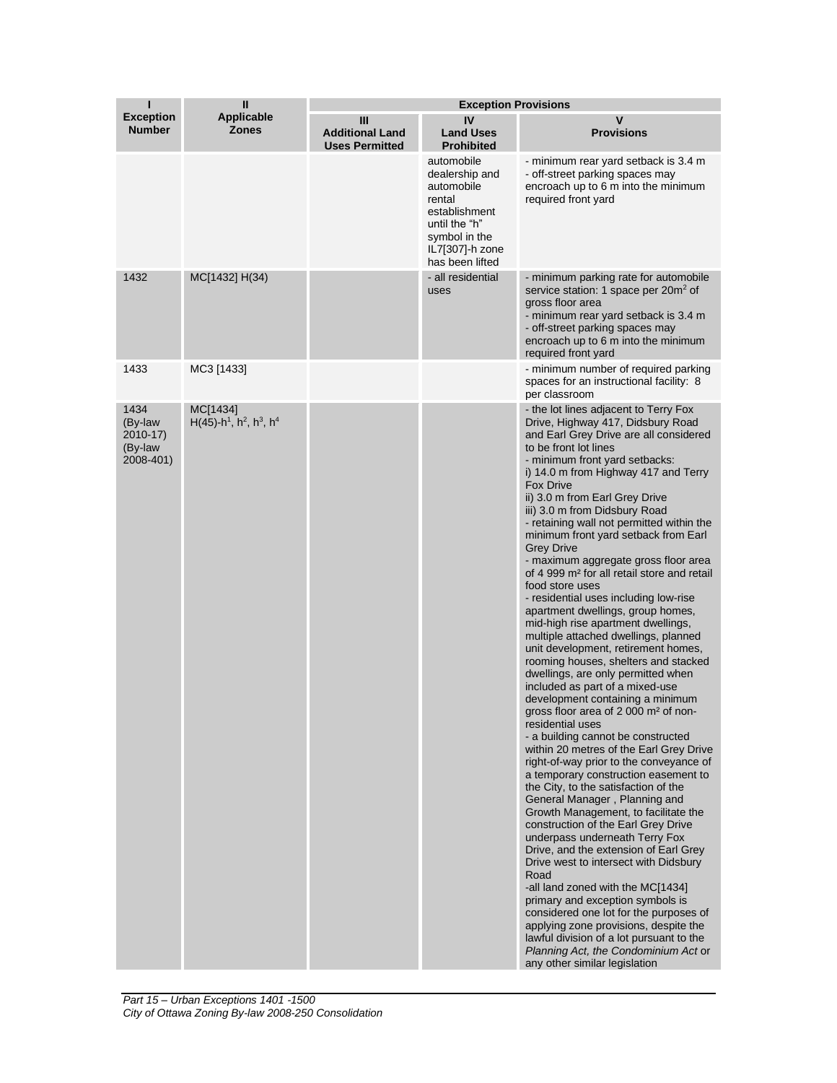| ı                                                   | $\mathbf{I}$                                                                           | <b>Exception Provisions</b>                          |                                                                                                                                               |                                                                                                                                                                                                                                                                                                                                                                                                                                                                                                                                                                                                                                                                                                                                                                                                                                                                                                                                                                                                                                                                                                                                                                                                                                                                                                                                                                                                                                                                                                                                                                                                                                                                                                                  |  |
|-----------------------------------------------------|----------------------------------------------------------------------------------------|------------------------------------------------------|-----------------------------------------------------------------------------------------------------------------------------------------------|------------------------------------------------------------------------------------------------------------------------------------------------------------------------------------------------------------------------------------------------------------------------------------------------------------------------------------------------------------------------------------------------------------------------------------------------------------------------------------------------------------------------------------------------------------------------------------------------------------------------------------------------------------------------------------------------------------------------------------------------------------------------------------------------------------------------------------------------------------------------------------------------------------------------------------------------------------------------------------------------------------------------------------------------------------------------------------------------------------------------------------------------------------------------------------------------------------------------------------------------------------------------------------------------------------------------------------------------------------------------------------------------------------------------------------------------------------------------------------------------------------------------------------------------------------------------------------------------------------------------------------------------------------------------------------------------------------------|--|
| <b>Exception</b><br><b>Number</b>                   | <b>Applicable</b><br><b>Zones</b>                                                      | Ш<br><b>Additional Land</b><br><b>Uses Permitted</b> | IV<br><b>Land Uses</b><br><b>Prohibited</b>                                                                                                   | V<br><b>Provisions</b>                                                                                                                                                                                                                                                                                                                                                                                                                                                                                                                                                                                                                                                                                                                                                                                                                                                                                                                                                                                                                                                                                                                                                                                                                                                                                                                                                                                                                                                                                                                                                                                                                                                                                           |  |
|                                                     |                                                                                        |                                                      | automobile<br>dealership and<br>automobile<br>rental<br>establishment<br>until the "h"<br>symbol in the<br>IL7[307]-h zone<br>has been lifted | - minimum rear yard setback is 3.4 m<br>- off-street parking spaces may<br>encroach up to 6 m into the minimum<br>required front yard                                                                                                                                                                                                                                                                                                                                                                                                                                                                                                                                                                                                                                                                                                                                                                                                                                                                                                                                                                                                                                                                                                                                                                                                                                                                                                                                                                                                                                                                                                                                                                            |  |
| 1432                                                | MC[1432] H(34)                                                                         |                                                      | - all residential<br>uses                                                                                                                     | - minimum parking rate for automobile<br>service station: 1 space per 20m <sup>2</sup> of<br>gross floor area<br>- minimum rear yard setback is 3.4 m<br>- off-street parking spaces may<br>encroach up to 6 m into the minimum<br>required front yard                                                                                                                                                                                                                                                                                                                                                                                                                                                                                                                                                                                                                                                                                                                                                                                                                                                                                                                                                                                                                                                                                                                                                                                                                                                                                                                                                                                                                                                           |  |
| 1433                                                | MC3 [1433]                                                                             |                                                      |                                                                                                                                               | - minimum number of required parking<br>spaces for an instructional facility: 8<br>per classroom                                                                                                                                                                                                                                                                                                                                                                                                                                                                                                                                                                                                                                                                                                                                                                                                                                                                                                                                                                                                                                                                                                                                                                                                                                                                                                                                                                                                                                                                                                                                                                                                                 |  |
| 1434<br>(By-law<br>2010-17)<br>(By-law<br>2008-401) | MC[1434]<br>$H(45)$ -h <sup>1</sup> , h <sup>2</sup> , h <sup>3</sup> , h <sup>4</sup> |                                                      |                                                                                                                                               | - the lot lines adjacent to Terry Fox<br>Drive, Highway 417, Didsbury Road<br>and Earl Grey Drive are all considered<br>to be front lot lines<br>- minimum front yard setbacks:<br>i) 14.0 m from Highway 417 and Terry<br>Fox Drive<br>ii) 3.0 m from Earl Grey Drive<br>iii) 3.0 m from Didsbury Road<br>- retaining wall not permitted within the<br>minimum front yard setback from Earl<br><b>Grey Drive</b><br>- maximum aggregate gross floor area<br>of 4 999 m <sup>2</sup> for all retail store and retail<br>food store uses<br>- residential uses including low-rise<br>apartment dwellings, group homes,<br>mid-high rise apartment dwellings,<br>multiple attached dwellings, planned<br>unit development, retirement homes,<br>rooming houses, shelters and stacked<br>dwellings, are only permitted when<br>included as part of a mixed-use<br>development containing a minimum<br>gross floor area of 2 000 m <sup>2</sup> of non-<br>residential uses<br>- a building cannot be constructed<br>within 20 metres of the Earl Grey Drive<br>right-of-way prior to the conveyance of<br>a temporary construction easement to<br>the City, to the satisfaction of the<br>General Manager, Planning and<br>Growth Management, to facilitate the<br>construction of the Earl Grey Drive<br>underpass underneath Terry Fox<br>Drive, and the extension of Earl Grey<br>Drive west to intersect with Didsbury<br>Road<br>-all land zoned with the MC[1434]<br>primary and exception symbols is<br>considered one lot for the purposes of<br>applying zone provisions, despite the<br>lawful division of a lot pursuant to the<br>Planning Act, the Condominium Act or<br>any other similar legislation |  |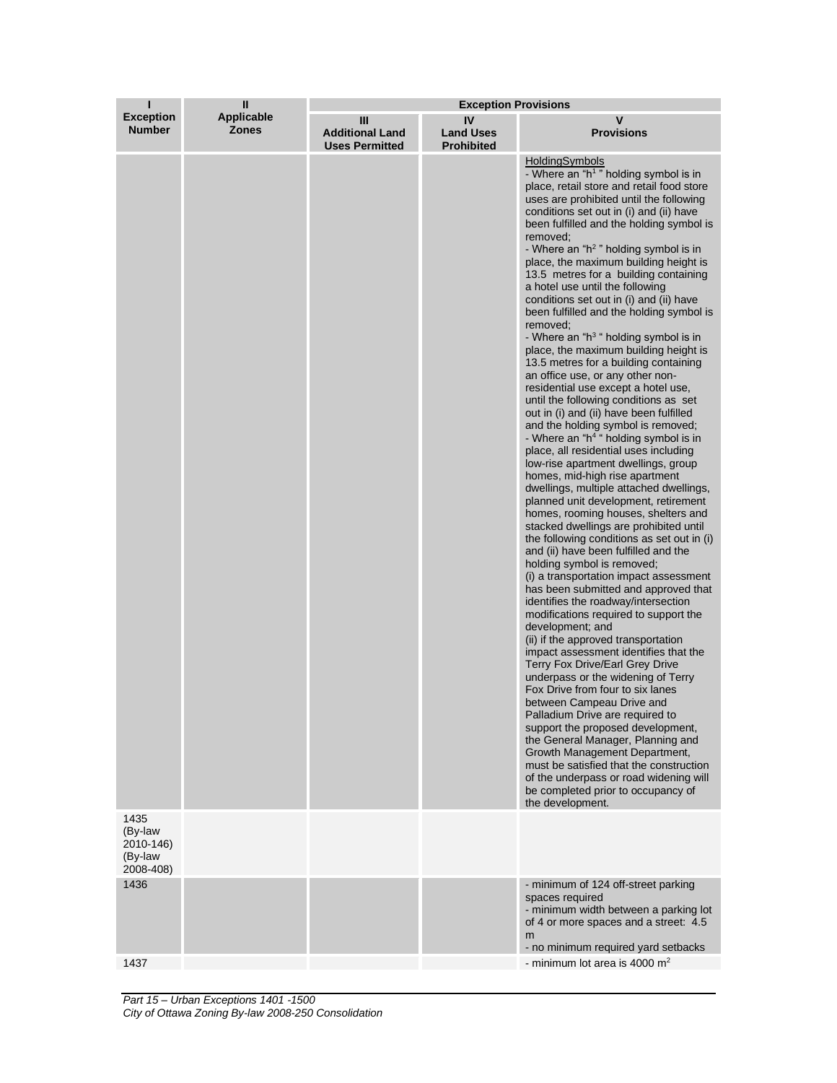| П                                            | $\mathbf{I}$                      | <b>Exception Provisions</b>                          |                                             |                                                                                                                                                                                                                                                                                                                                                                                                                                                                                                                                                                                                                                                                                                                                                                                                                                                                                                                                                                                                                                                                                                                                                                                                                                                                                                                                                                                                                                                                                                                                                                                                                                                                                                                                                                                                                                                                                                                                                                                                                                                                   |  |
|----------------------------------------------|-----------------------------------|------------------------------------------------------|---------------------------------------------|-------------------------------------------------------------------------------------------------------------------------------------------------------------------------------------------------------------------------------------------------------------------------------------------------------------------------------------------------------------------------------------------------------------------------------------------------------------------------------------------------------------------------------------------------------------------------------------------------------------------------------------------------------------------------------------------------------------------------------------------------------------------------------------------------------------------------------------------------------------------------------------------------------------------------------------------------------------------------------------------------------------------------------------------------------------------------------------------------------------------------------------------------------------------------------------------------------------------------------------------------------------------------------------------------------------------------------------------------------------------------------------------------------------------------------------------------------------------------------------------------------------------------------------------------------------------------------------------------------------------------------------------------------------------------------------------------------------------------------------------------------------------------------------------------------------------------------------------------------------------------------------------------------------------------------------------------------------------------------------------------------------------------------------------------------------------|--|
| <b>Exception</b><br><b>Number</b>            | <b>Applicable</b><br><b>Zones</b> | Ш<br><b>Additional Land</b><br><b>Uses Permitted</b> | IV<br><b>Land Uses</b><br><b>Prohibited</b> | $\mathbf v$<br><b>Provisions</b>                                                                                                                                                                                                                                                                                                                                                                                                                                                                                                                                                                                                                                                                                                                                                                                                                                                                                                                                                                                                                                                                                                                                                                                                                                                                                                                                                                                                                                                                                                                                                                                                                                                                                                                                                                                                                                                                                                                                                                                                                                  |  |
| 1435                                         |                                   |                                                      |                                             | HoldingSymbols<br>- Where an "h <sup>1</sup> " holding symbol is in<br>place, retail store and retail food store<br>uses are prohibited until the following<br>conditions set out in (i) and (ii) have<br>been fulfilled and the holding symbol is<br>removed;<br>- Where an "h <sup>2</sup> " holding symbol is in<br>place, the maximum building height is<br>13.5 metres for a building containing<br>a hotel use until the following<br>conditions set out in (i) and (ii) have<br>been fulfilled and the holding symbol is<br>removed;<br>- Where an " $h3$ " holding symbol is in<br>place, the maximum building height is<br>13.5 metres for a building containing<br>an office use, or any other non-<br>residential use except a hotel use,<br>until the following conditions as set<br>out in (i) and (ii) have been fulfilled<br>and the holding symbol is removed;<br>- Where an "h <sup>4</sup> " holding symbol is in<br>place, all residential uses including<br>low-rise apartment dwellings, group<br>homes, mid-high rise apartment<br>dwellings, multiple attached dwellings,<br>planned unit development, retirement<br>homes, rooming houses, shelters and<br>stacked dwellings are prohibited until<br>the following conditions as set out in (i)<br>and (ii) have been fulfilled and the<br>holding symbol is removed;<br>(i) a transportation impact assessment<br>has been submitted and approved that<br>identifies the roadway/intersection<br>modifications required to support the<br>development; and<br>(ii) if the approved transportation<br>impact assessment identifies that the<br><b>Terry Fox Drive/Earl Grey Drive</b><br>underpass or the widening of Terry<br>Fox Drive from four to six lanes<br>between Campeau Drive and<br>Palladium Drive are required to<br>support the proposed development,<br>the General Manager, Planning and<br>Growth Management Department,<br>must be satisfied that the construction<br>of the underpass or road widening will<br>be completed prior to occupancy of<br>the development. |  |
| (By-law<br>2010-146)<br>(By-law<br>2008-408) |                                   |                                                      |                                             |                                                                                                                                                                                                                                                                                                                                                                                                                                                                                                                                                                                                                                                                                                                                                                                                                                                                                                                                                                                                                                                                                                                                                                                                                                                                                                                                                                                                                                                                                                                                                                                                                                                                                                                                                                                                                                                                                                                                                                                                                                                                   |  |
| 1436                                         |                                   |                                                      |                                             | - minimum of 124 off-street parking<br>spaces required<br>- minimum width between a parking lot<br>of 4 or more spaces and a street: 4.5<br>m<br>- no minimum required yard setbacks                                                                                                                                                                                                                                                                                                                                                                                                                                                                                                                                                                                                                                                                                                                                                                                                                                                                                                                                                                                                                                                                                                                                                                                                                                                                                                                                                                                                                                                                                                                                                                                                                                                                                                                                                                                                                                                                              |  |
| 1437                                         |                                   |                                                      |                                             | - minimum lot area is 4000 $m2$                                                                                                                                                                                                                                                                                                                                                                                                                                                                                                                                                                                                                                                                                                                                                                                                                                                                                                                                                                                                                                                                                                                                                                                                                                                                                                                                                                                                                                                                                                                                                                                                                                                                                                                                                                                                                                                                                                                                                                                                                                   |  |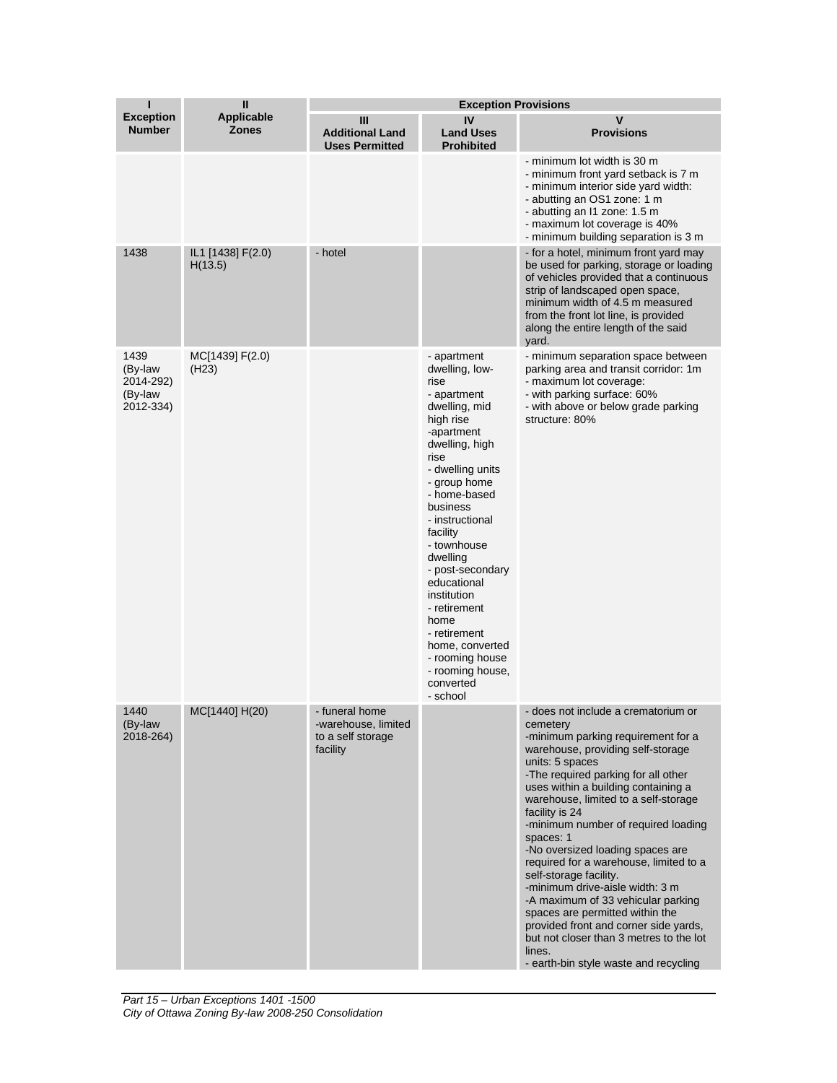| П                                                    | $\mathbf{I}$                 | <b>Exception Provisions</b>                                            |                                                                                                                                                                                                                                                                                                                                                                                                                                   |                                                                                                                                                                                                                                                                                                                                                                                                                                                                                                                                                                                                                                                                                                      |  |
|------------------------------------------------------|------------------------------|------------------------------------------------------------------------|-----------------------------------------------------------------------------------------------------------------------------------------------------------------------------------------------------------------------------------------------------------------------------------------------------------------------------------------------------------------------------------------------------------------------------------|------------------------------------------------------------------------------------------------------------------------------------------------------------------------------------------------------------------------------------------------------------------------------------------------------------------------------------------------------------------------------------------------------------------------------------------------------------------------------------------------------------------------------------------------------------------------------------------------------------------------------------------------------------------------------------------------------|--|
| <b>Exception</b><br><b>Number</b>                    | Applicable<br><b>Zones</b>   | Ш<br><b>Additional Land</b><br><b>Uses Permitted</b>                   | IV<br><b>Land Uses</b><br><b>Prohibited</b>                                                                                                                                                                                                                                                                                                                                                                                       | v<br><b>Provisions</b>                                                                                                                                                                                                                                                                                                                                                                                                                                                                                                                                                                                                                                                                               |  |
|                                                      |                              |                                                                        |                                                                                                                                                                                                                                                                                                                                                                                                                                   | - minimum lot width is 30 m<br>- minimum front yard setback is 7 m<br>- minimum interior side yard width:<br>- abutting an OS1 zone: 1 m<br>- abutting an I1 zone: 1.5 m<br>- maximum lot coverage is 40%<br>- minimum building separation is 3 m                                                                                                                                                                                                                                                                                                                                                                                                                                                    |  |
| 1438                                                 | IL1 [1438] F(2.0)<br>H(13.5) | - hotel                                                                |                                                                                                                                                                                                                                                                                                                                                                                                                                   | - for a hotel, minimum front yard may<br>be used for parking, storage or loading<br>of vehicles provided that a continuous<br>strip of landscaped open space,<br>minimum width of 4.5 m measured<br>from the front lot line, is provided<br>along the entire length of the said<br>yard.                                                                                                                                                                                                                                                                                                                                                                                                             |  |
| 1439<br>(By-law<br>2014-292)<br>(By-law<br>2012-334) | MC[1439] F(2.0)<br>(H23)     |                                                                        | - apartment<br>dwelling, low-<br>rise<br>- apartment<br>dwelling, mid<br>high rise<br>-apartment<br>dwelling, high<br>rise<br>- dwelling units<br>- group home<br>- home-based<br>business<br>- instructional<br>facility<br>- townhouse<br>dwelling<br>- post-secondary<br>educational<br>institution<br>- retirement<br>home<br>- retirement<br>home, converted<br>- rooming house<br>- rooming house,<br>converted<br>- school | - minimum separation space between<br>parking area and transit corridor: 1m<br>- maximum lot coverage:<br>- with parking surface: 60%<br>- with above or below grade parking<br>structure: 80%                                                                                                                                                                                                                                                                                                                                                                                                                                                                                                       |  |
| 1440<br>(By-law<br>2018-264)                         | MC[1440] H(20)               | - runerai nome<br>-warehouse, limited<br>to a self storage<br>facility |                                                                                                                                                                                                                                                                                                                                                                                                                                   | - does not include a crematorium or<br>cemetery<br>-minimum parking requirement for a<br>warehouse, providing self-storage<br>units: 5 spaces<br>-The required parking for all other<br>uses within a building containing a<br>warehouse, limited to a self-storage<br>facility is 24<br>-minimum number of required loading<br>spaces: 1<br>-No oversized loading spaces are<br>required for a warehouse, limited to a<br>self-storage facility.<br>-minimum drive-aisle width: 3 m<br>-A maximum of 33 vehicular parking<br>spaces are permitted within the<br>provided front and corner side yards,<br>but not closer than 3 metres to the lot<br>lines.<br>- earth-bin style waste and recycling |  |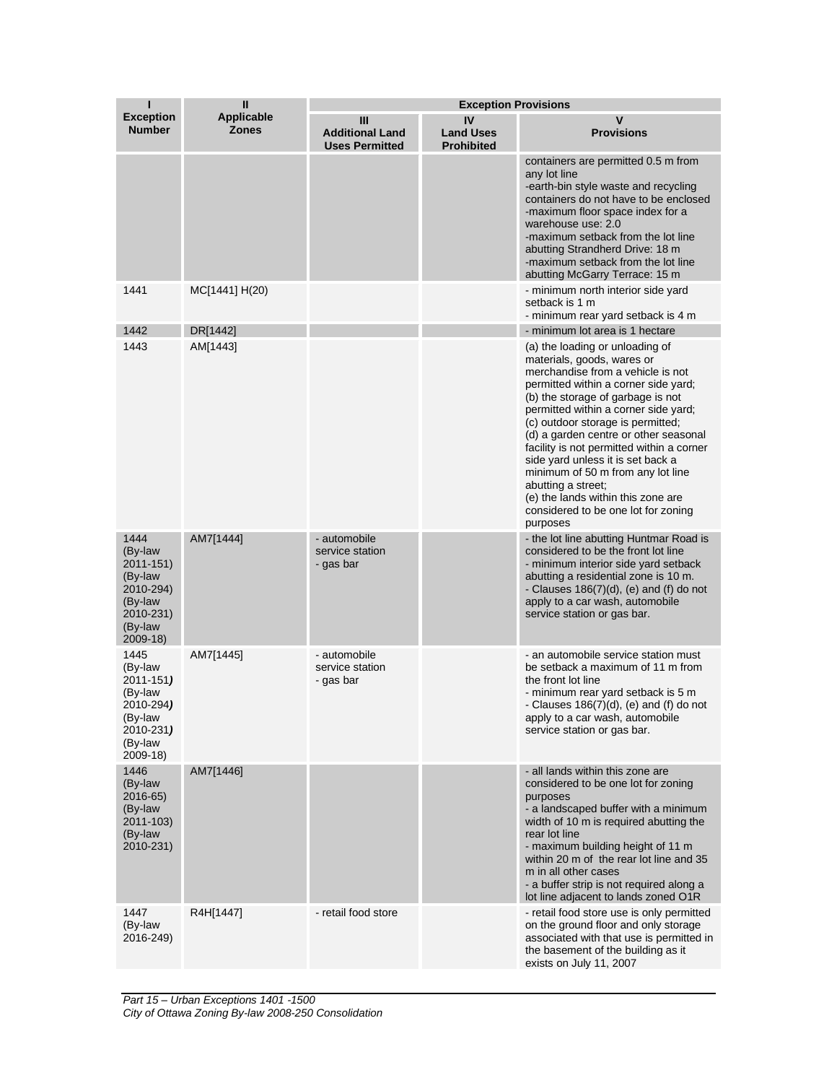| п                                                                                                   | $\mathbf{I}$                      | <b>Exception Provisions</b>                          |                                             |                                                                                                                                                                                                                                                                                                                                                                                                                                                                                                                                             |  |
|-----------------------------------------------------------------------------------------------------|-----------------------------------|------------------------------------------------------|---------------------------------------------|---------------------------------------------------------------------------------------------------------------------------------------------------------------------------------------------------------------------------------------------------------------------------------------------------------------------------------------------------------------------------------------------------------------------------------------------------------------------------------------------------------------------------------------------|--|
| <b>Exception</b><br><b>Number</b>                                                                   | <b>Applicable</b><br><b>Zones</b> | Ш<br><b>Additional Land</b><br><b>Uses Permitted</b> | IV<br><b>Land Uses</b><br><b>Prohibited</b> | v<br><b>Provisions</b>                                                                                                                                                                                                                                                                                                                                                                                                                                                                                                                      |  |
|                                                                                                     |                                   |                                                      |                                             | containers are permitted 0.5 m from<br>any lot line<br>-earth-bin style waste and recycling<br>containers do not have to be enclosed<br>-maximum floor space index for a<br>warehouse use: 2.0<br>-maximum setback from the lot line<br>abutting Strandherd Drive: 18 m<br>-maximum setback from the lot line<br>abutting McGarry Terrace: 15 m                                                                                                                                                                                             |  |
| 1441                                                                                                | MC[1441] H(20)                    |                                                      |                                             | - minimum north interior side yard<br>setback is 1 m<br>- minimum rear yard setback is 4 m                                                                                                                                                                                                                                                                                                                                                                                                                                                  |  |
| 1442                                                                                                | DR[1442]                          |                                                      |                                             | - minimum lot area is 1 hectare                                                                                                                                                                                                                                                                                                                                                                                                                                                                                                             |  |
| 1443                                                                                                | AM[1443]                          |                                                      |                                             | (a) the loading or unloading of<br>materials, goods, wares or<br>merchandise from a vehicle is not<br>permitted within a corner side yard;<br>(b) the storage of garbage is not<br>permitted within a corner side yard;<br>(c) outdoor storage is permitted;<br>(d) a garden centre or other seasonal<br>facility is not permitted within a corner<br>side yard unless it is set back a<br>minimum of 50 m from any lot line<br>abutting a street:<br>(e) the lands within this zone are<br>considered to be one lot for zoning<br>purposes |  |
| 1444<br>(By-law<br>2011-151)<br>(By-law<br>2010-294)<br>(By-law<br>2010-231)<br>(By-law<br>2009-18) | AM7[1444]                         | - automobile<br>service station<br>- gas bar         |                                             | - the lot line abutting Huntmar Road is<br>considered to be the front lot line<br>- minimum interior side yard setback<br>abutting a residential zone is 10 m.<br>- Clauses $186(7)(d)$ , (e) and (f) do not<br>apply to a car wash, automobile<br>service station or gas bar.                                                                                                                                                                                                                                                              |  |
| 1445<br>(By-law<br>2011-151)<br>(By-law<br>2010-294)<br>(By-law<br>2010-231)<br>(By-law<br>2009-18) | AM7[1445]                         | - automobile<br>service station<br>- gas bar         |                                             | - an automobile service station must<br>be setback a maximum of 11 m from<br>the front lot line<br>- minimum rear yard setback is 5 m<br>- Clauses $186(7)(d)$ , (e) and (f) do not<br>apply to a car wash, automobile<br>service station or gas bar.                                                                                                                                                                                                                                                                                       |  |
| 1446<br>(By-law<br>2016-65)<br>(By-law<br>2011-103)<br>(By-law<br>2010-231)                         | AM7[1446]                         |                                                      |                                             | - all lands within this zone are<br>considered to be one lot for zoning<br>purposes<br>- a landscaped buffer with a minimum<br>width of 10 m is required abutting the<br>rear lot line<br>- maximum building height of 11 m<br>within 20 m of the rear lot line and 35<br>m in all other cases<br>- a buffer strip is not required along a<br>lot line adjacent to lands zoned O1R                                                                                                                                                          |  |
| 1447<br>(By-law<br>2016-249)                                                                        | R4H[1447]                         | - retail food store                                  |                                             | - retail food store use is only permitted<br>on the ground floor and only storage<br>associated with that use is permitted in<br>the basement of the building as it<br>exists on July 11, 2007                                                                                                                                                                                                                                                                                                                                              |  |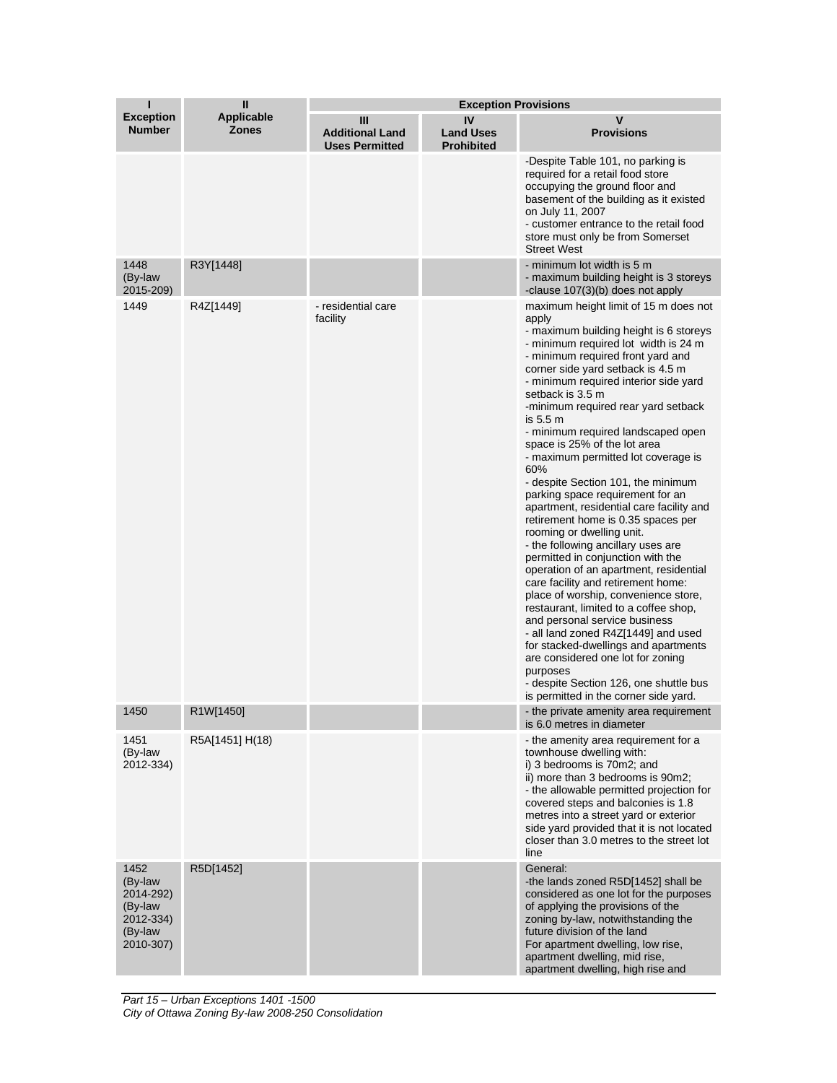| ī                                                                            | $\mathbf{I}$                      | <b>Exception Provisions</b>                          |                                             |                                                                                                                                                                                                                                                                                                                                                                                                                                                                                                                                                                                                                                                                                                                                                                                                                                                                                                                                                                                                                                                                                                                                         |  |
|------------------------------------------------------------------------------|-----------------------------------|------------------------------------------------------|---------------------------------------------|-----------------------------------------------------------------------------------------------------------------------------------------------------------------------------------------------------------------------------------------------------------------------------------------------------------------------------------------------------------------------------------------------------------------------------------------------------------------------------------------------------------------------------------------------------------------------------------------------------------------------------------------------------------------------------------------------------------------------------------------------------------------------------------------------------------------------------------------------------------------------------------------------------------------------------------------------------------------------------------------------------------------------------------------------------------------------------------------------------------------------------------------|--|
| <b>Exception</b><br><b>Number</b>                                            | <b>Applicable</b><br><b>Zones</b> | Ш<br><b>Additional Land</b><br><b>Uses Permitted</b> | IV<br><b>Land Uses</b><br><b>Prohibited</b> | v<br><b>Provisions</b>                                                                                                                                                                                                                                                                                                                                                                                                                                                                                                                                                                                                                                                                                                                                                                                                                                                                                                                                                                                                                                                                                                                  |  |
|                                                                              |                                   |                                                      |                                             | -Despite Table 101, no parking is<br>required for a retail food store<br>occupying the ground floor and<br>basement of the building as it existed<br>on July 11, 2007<br>- customer entrance to the retail food<br>store must only be from Somerset<br><b>Street West</b>                                                                                                                                                                                                                                                                                                                                                                                                                                                                                                                                                                                                                                                                                                                                                                                                                                                               |  |
| 1448<br>(By-law<br>2015-209)                                                 | R3Y[1448]                         |                                                      |                                             | - minimum lot width is 5 m<br>- maximum building height is 3 storeys<br>-clause 107(3)(b) does not apply                                                                                                                                                                                                                                                                                                                                                                                                                                                                                                                                                                                                                                                                                                                                                                                                                                                                                                                                                                                                                                |  |
| 1449                                                                         | R4Z[1449]                         | - residential care<br>facility                       |                                             | maximum height limit of 15 m does not<br>apply<br>- maximum building height is 6 storeys<br>- minimum required lot width is 24 m<br>- minimum required front yard and<br>corner side yard setback is 4.5 m<br>- minimum required interior side yard<br>setback is 3.5 m<br>-minimum required rear yard setback<br>is 5.5 m<br>- minimum required landscaped open<br>space is 25% of the lot area<br>- maximum permitted lot coverage is<br>60%<br>- despite Section 101, the minimum<br>parking space requirement for an<br>apartment, residential care facility and<br>retirement home is 0.35 spaces per<br>rooming or dwelling unit.<br>- the following ancillary uses are<br>permitted in conjunction with the<br>operation of an apartment, residential<br>care facility and retirement home:<br>place of worship, convenience store,<br>restaurant, limited to a coffee shop,<br>and personal service business<br>- all land zoned R4Z[1449] and used<br>for stacked-dwellings and apartments<br>are considered one lot for zoning<br>purposes<br>- despite Section 126, one shuttle bus<br>is permitted in the corner side yard. |  |
| 1450                                                                         | R1W[1450]                         |                                                      |                                             | - the private amenity area requirement<br>is 6.0 metres in diameter                                                                                                                                                                                                                                                                                                                                                                                                                                                                                                                                                                                                                                                                                                                                                                                                                                                                                                                                                                                                                                                                     |  |
| 1451<br>(By-law<br>2012-334)                                                 | R5A[1451] H(18)                   |                                                      |                                             | - the amenity area requirement for a<br>townhouse dwelling with:<br>i) 3 bedrooms is 70m2; and<br>ii) more than 3 bedrooms is 90m2;<br>- the allowable permitted projection for<br>covered steps and balconies is 1.8<br>metres into a street yard or exterior<br>side yard provided that it is not located<br>closer than 3.0 metres to the street lot<br>line                                                                                                                                                                                                                                                                                                                                                                                                                                                                                                                                                                                                                                                                                                                                                                         |  |
| 1452<br>(By-law<br>2014-292)<br>(By-law<br>2012-334)<br>(By-law<br>2010-307) | R5D[1452]                         |                                                      |                                             | General:<br>-the lands zoned R5D[1452] shall be<br>considered as one lot for the purposes<br>of applying the provisions of the<br>zoning by-law, notwithstanding the<br>future division of the land<br>For apartment dwelling, low rise,<br>apartment dwelling, mid rise,<br>apartment dwelling, high rise and                                                                                                                                                                                                                                                                                                                                                                                                                                                                                                                                                                                                                                                                                                                                                                                                                          |  |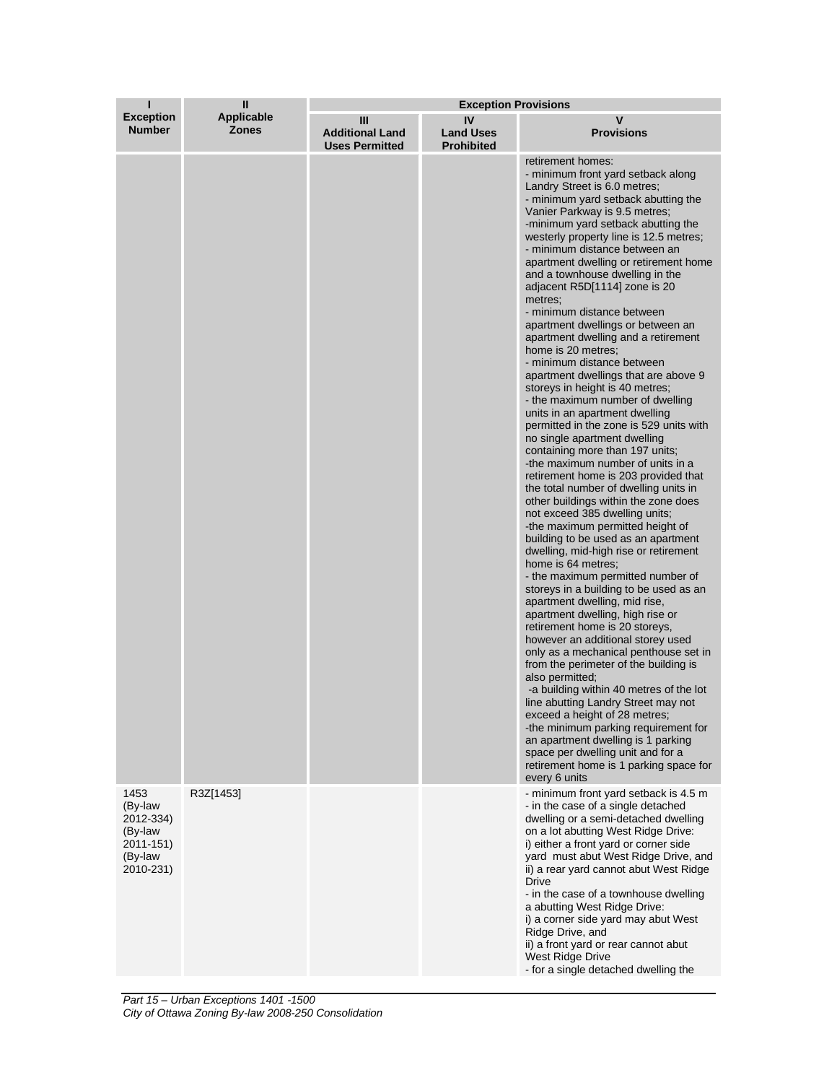| ı                                                                            | $\mathbf{I}$                      | <b>Exception Provisions</b>                          |                                             |                                                                                                                                                                                                                                                                                                                                                                                                                                                                                                                                                                                                                                                                                                                                                                                                                                                                                                                                                                                                                                                                                                                                                                                                                                                                                                                                                                                                                                                                                                                                                                                                                                                                                                                                                                                                                  |  |
|------------------------------------------------------------------------------|-----------------------------------|------------------------------------------------------|---------------------------------------------|------------------------------------------------------------------------------------------------------------------------------------------------------------------------------------------------------------------------------------------------------------------------------------------------------------------------------------------------------------------------------------------------------------------------------------------------------------------------------------------------------------------------------------------------------------------------------------------------------------------------------------------------------------------------------------------------------------------------------------------------------------------------------------------------------------------------------------------------------------------------------------------------------------------------------------------------------------------------------------------------------------------------------------------------------------------------------------------------------------------------------------------------------------------------------------------------------------------------------------------------------------------------------------------------------------------------------------------------------------------------------------------------------------------------------------------------------------------------------------------------------------------------------------------------------------------------------------------------------------------------------------------------------------------------------------------------------------------------------------------------------------------------------------------------------------------|--|
| <b>Exception</b><br><b>Number</b>                                            | <b>Applicable</b><br><b>Zones</b> | Ш<br><b>Additional Land</b><br><b>Uses Permitted</b> | IV<br><b>Land Uses</b><br><b>Prohibited</b> | v<br><b>Provisions</b>                                                                                                                                                                                                                                                                                                                                                                                                                                                                                                                                                                                                                                                                                                                                                                                                                                                                                                                                                                                                                                                                                                                                                                                                                                                                                                                                                                                                                                                                                                                                                                                                                                                                                                                                                                                           |  |
|                                                                              |                                   |                                                      |                                             | retirement homes:<br>- minimum front yard setback along<br>Landry Street is 6.0 metres;<br>- minimum yard setback abutting the<br>Vanier Parkway is 9.5 metres;<br>-minimum yard setback abutting the<br>westerly property line is 12.5 metres;<br>- minimum distance between an<br>apartment dwelling or retirement home<br>and a townhouse dwelling in the<br>adjacent R5D[1114] zone is 20<br>metres:<br>- minimum distance between<br>apartment dwellings or between an<br>apartment dwelling and a retirement<br>home is 20 metres;<br>- minimum distance between<br>apartment dwellings that are above 9<br>storeys in height is 40 metres;<br>- the maximum number of dwelling<br>units in an apartment dwelling<br>permitted in the zone is 529 units with<br>no single apartment dwelling<br>containing more than 197 units;<br>-the maximum number of units in a<br>retirement home is 203 provided that<br>the total number of dwelling units in<br>other buildings within the zone does<br>not exceed 385 dwelling units;<br>-the maximum permitted height of<br>building to be used as an apartment<br>dwelling, mid-high rise or retirement<br>home is 64 metres;<br>- the maximum permitted number of<br>storeys in a building to be used as an<br>apartment dwelling, mid rise,<br>apartment dwelling, high rise or<br>retirement home is 20 storeys,<br>however an additional storey used<br>only as a mechanical penthouse set in<br>from the perimeter of the building is<br>also permitted;<br>-a building within 40 metres of the lot<br>line abutting Landry Street may not<br>exceed a height of 28 metres;<br>-the minimum parking requirement for<br>an apartment dwelling is 1 parking<br>space per dwelling unit and for a<br>retirement home is 1 parking space for<br>every 6 units |  |
| 1453<br>(By-law<br>2012-334)<br>(By-law<br>2011-151)<br>(By-law<br>2010-231) | R3Z[1453]                         |                                                      |                                             | - minimum front yard setback is 4.5 m<br>- in the case of a single detached<br>dwelling or a semi-detached dwelling<br>on a lot abutting West Ridge Drive:<br>i) either a front yard or corner side<br>yard must abut West Ridge Drive, and<br>ii) a rear yard cannot abut West Ridge<br><b>Drive</b><br>- in the case of a townhouse dwelling<br>a abutting West Ridge Drive:<br>i) a corner side yard may abut West<br>Ridge Drive, and<br>ii) a front yard or rear cannot abut<br>West Ridge Drive<br>- for a single detached dwelling the                                                                                                                                                                                                                                                                                                                                                                                                                                                                                                                                                                                                                                                                                                                                                                                                                                                                                                                                                                                                                                                                                                                                                                                                                                                                    |  |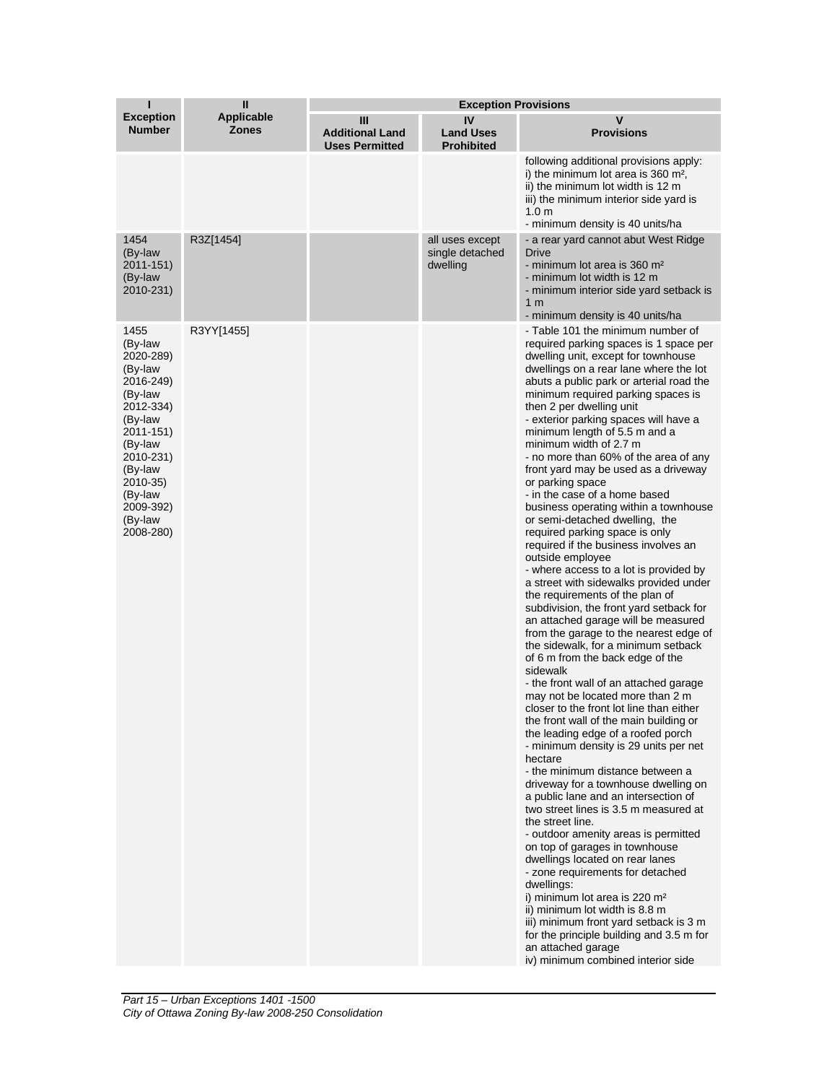| ı                                                                                                                                                                                                   | $\mathbf{I}$                      | <b>Exception Provisions</b>                          |                                                |                                                                                                                                                                                                                                                                                                                                                                                                                                                                                                                                                                                                                                                                                                                                                                                                                                                                                                                                                                                                                                                                                                                                                                                                                                                                                                                                                                                                                                                                                                                                                                                                                                                                                                                                                                                                                                                                                        |  |
|-----------------------------------------------------------------------------------------------------------------------------------------------------------------------------------------------------|-----------------------------------|------------------------------------------------------|------------------------------------------------|----------------------------------------------------------------------------------------------------------------------------------------------------------------------------------------------------------------------------------------------------------------------------------------------------------------------------------------------------------------------------------------------------------------------------------------------------------------------------------------------------------------------------------------------------------------------------------------------------------------------------------------------------------------------------------------------------------------------------------------------------------------------------------------------------------------------------------------------------------------------------------------------------------------------------------------------------------------------------------------------------------------------------------------------------------------------------------------------------------------------------------------------------------------------------------------------------------------------------------------------------------------------------------------------------------------------------------------------------------------------------------------------------------------------------------------------------------------------------------------------------------------------------------------------------------------------------------------------------------------------------------------------------------------------------------------------------------------------------------------------------------------------------------------------------------------------------------------------------------------------------------------|--|
| <b>Exception</b><br><b>Number</b>                                                                                                                                                                   | <b>Applicable</b><br><b>Zones</b> | Ш<br><b>Additional Land</b><br><b>Uses Permitted</b> | IV<br><b>Land Uses</b><br><b>Prohibited</b>    | V<br><b>Provisions</b>                                                                                                                                                                                                                                                                                                                                                                                                                                                                                                                                                                                                                                                                                                                                                                                                                                                                                                                                                                                                                                                                                                                                                                                                                                                                                                                                                                                                                                                                                                                                                                                                                                                                                                                                                                                                                                                                 |  |
|                                                                                                                                                                                                     |                                   |                                                      |                                                | following additional provisions apply:<br>i) the minimum lot area is 360 m <sup>2</sup> ,<br>ii) the minimum lot width is 12 m<br>iii) the minimum interior side yard is<br>1.0 <sub>m</sub><br>- minimum density is 40 units/ha                                                                                                                                                                                                                                                                                                                                                                                                                                                                                                                                                                                                                                                                                                                                                                                                                                                                                                                                                                                                                                                                                                                                                                                                                                                                                                                                                                                                                                                                                                                                                                                                                                                       |  |
| 1454<br>(By-law<br>2011-151)<br>(By-law<br>2010-231)                                                                                                                                                | R3Z[1454]                         |                                                      | all uses except<br>single detached<br>dwelling | - a rear yard cannot abut West Ridge<br>Drive<br>- minimum lot area is 360 m <sup>2</sup><br>- minimum lot width is 12 m<br>- minimum interior side yard setback is<br>1 m<br>- minimum density is 40 units/ha                                                                                                                                                                                                                                                                                                                                                                                                                                                                                                                                                                                                                                                                                                                                                                                                                                                                                                                                                                                                                                                                                                                                                                                                                                                                                                                                                                                                                                                                                                                                                                                                                                                                         |  |
| 1455<br>(By-law<br>2020-289)<br>(By-law<br>2016-249)<br>(By-law<br>2012-334)<br>(By-law<br>2011-151)<br>(By-law<br>2010-231)<br>(By-law<br>2010-35)<br>(By-law<br>2009-392)<br>(By-law<br>2008-280) | R3YY[1455]                        |                                                      |                                                | - Table 101 the minimum number of<br>required parking spaces is 1 space per<br>dwelling unit, except for townhouse<br>dwellings on a rear lane where the lot<br>abuts a public park or arterial road the<br>minimum required parking spaces is<br>then 2 per dwelling unit<br>- exterior parking spaces will have a<br>minimum length of 5.5 m and a<br>minimum width of 2.7 m<br>- no more than 60% of the area of any<br>front yard may be used as a driveway<br>or parking space<br>- in the case of a home based<br>business operating within a townhouse<br>or semi-detached dwelling, the<br>required parking space is only<br>required if the business involves an<br>outside employee<br>- where access to a lot is provided by<br>a street with sidewalks provided under<br>the requirements of the plan of<br>subdivision, the front yard setback for<br>an attached garage will be measured<br>from the garage to the nearest edge of<br>the sidewalk, for a minimum setback<br>of 6 m from the back edge of the<br>sidewalk<br>- the front wall of an attached garage<br>may not be located more than 2 m<br>closer to the front lot line than either<br>the front wall of the main building or<br>the leading edge of a roofed porch<br>- minimum density is 29 units per net<br>hectare<br>- the minimum distance between a<br>driveway for a townhouse dwelling on<br>a public lane and an intersection of<br>two street lines is 3.5 m measured at<br>the street line.<br>- outdoor amenity areas is permitted<br>on top of garages in townhouse<br>dwellings located on rear lanes<br>- zone requirements for detached<br>dwellings:<br>i) minimum lot area is 220 m <sup>2</sup><br>ii) minimum lot width is 8.8 m<br>iii) minimum front yard setback is 3 m<br>for the principle building and 3.5 m for<br>an attached garage<br>iv) minimum combined interior side |  |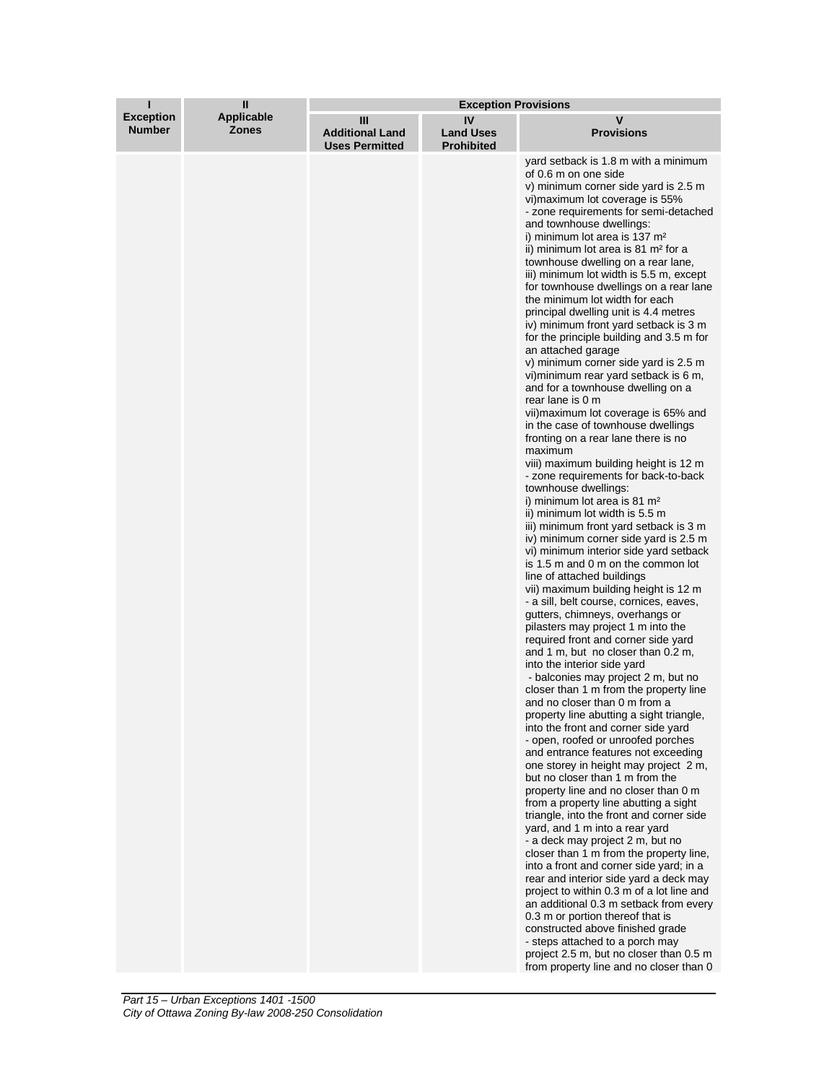| ı                                 | $\mathbf{I}$                      | <b>Exception Provisions</b>                          |                                             |                                                                                                                                                                                                                                                                                                                                                                                                                                                                                                                                                                                                                                                                                                                                                                                                                                                                                                                                                                                                                                                                                                                                                                                                                                                                                                                                                                                                                                                                                                                                                                                                                                                                                                                                                                                                                                                                                                                                                                                                                                                                                                                                                                                                                                                                                                                                                                                                                                                                                                                                                                  |  |
|-----------------------------------|-----------------------------------|------------------------------------------------------|---------------------------------------------|------------------------------------------------------------------------------------------------------------------------------------------------------------------------------------------------------------------------------------------------------------------------------------------------------------------------------------------------------------------------------------------------------------------------------------------------------------------------------------------------------------------------------------------------------------------------------------------------------------------------------------------------------------------------------------------------------------------------------------------------------------------------------------------------------------------------------------------------------------------------------------------------------------------------------------------------------------------------------------------------------------------------------------------------------------------------------------------------------------------------------------------------------------------------------------------------------------------------------------------------------------------------------------------------------------------------------------------------------------------------------------------------------------------------------------------------------------------------------------------------------------------------------------------------------------------------------------------------------------------------------------------------------------------------------------------------------------------------------------------------------------------------------------------------------------------------------------------------------------------------------------------------------------------------------------------------------------------------------------------------------------------------------------------------------------------------------------------------------------------------------------------------------------------------------------------------------------------------------------------------------------------------------------------------------------------------------------------------------------------------------------------------------------------------------------------------------------------------------------------------------------------------------------------------------------------|--|
| <b>Exception</b><br><b>Number</b> | <b>Applicable</b><br><b>Zones</b> | Ш<br><b>Additional Land</b><br><b>Uses Permitted</b> | IV<br><b>Land Uses</b><br><b>Prohibited</b> | v<br><b>Provisions</b>                                                                                                                                                                                                                                                                                                                                                                                                                                                                                                                                                                                                                                                                                                                                                                                                                                                                                                                                                                                                                                                                                                                                                                                                                                                                                                                                                                                                                                                                                                                                                                                                                                                                                                                                                                                                                                                                                                                                                                                                                                                                                                                                                                                                                                                                                                                                                                                                                                                                                                                                           |  |
|                                   |                                   |                                                      |                                             | yard setback is 1.8 m with a minimum<br>of 0.6 m on one side<br>v) minimum corner side yard is 2.5 m<br>vi) maximum lot coverage is 55%<br>- zone requirements for semi-detached<br>and townhouse dwellings:<br>i) minimum lot area is 137 m <sup>2</sup><br>ii) minimum lot area is 81 m <sup>2</sup> for a<br>townhouse dwelling on a rear lane,<br>iii) minimum lot width is 5.5 m, except<br>for townhouse dwellings on a rear lane<br>the minimum lot width for each<br>principal dwelling unit is 4.4 metres<br>iv) minimum front yard setback is 3 m<br>for the principle building and 3.5 m for<br>an attached garage<br>v) minimum corner side yard is 2.5 m<br>vi) minimum rear yard setback is 6 m,<br>and for a townhouse dwelling on a<br>rear lane is 0 m<br>vii) maximum lot coverage is 65% and<br>in the case of townhouse dwellings<br>fronting on a rear lane there is no<br>maximum<br>viii) maximum building height is 12 m<br>- zone requirements for back-to-back<br>townhouse dwellings:<br>i) minimum lot area is 81 m <sup>2</sup><br>ii) minimum lot width is 5.5 m<br>iii) minimum front yard setback is 3 m<br>iv) minimum corner side yard is 2.5 m<br>vi) minimum interior side yard setback<br>is 1.5 m and 0 m on the common lot<br>line of attached buildings<br>vii) maximum building height is 12 m<br>- a sill, belt course, cornices, eaves,<br>gutters, chimneys, overhangs or<br>pilasters may project 1 m into the<br>required front and corner side yard<br>and 1 m, but no closer than 0.2 m,<br>into the interior side yard<br>- balconies may project 2 m, but no<br>closer than 1 m from the property line<br>and no closer than 0 m from a<br>property line abutting a sight triangle,<br>into the front and corner side yard<br>- open, roofed or unroofed porches<br>and entrance features not exceeding<br>one storey in height may project 2 m,<br>but no closer than 1 m from the<br>property line and no closer than 0 m<br>from a property line abutting a sight<br>triangle, into the front and corner side<br>yard, and 1 m into a rear yard<br>- a deck may project 2 m, but no<br>closer than 1 m from the property line,<br>into a front and corner side yard; in a<br>rear and interior side yard a deck may<br>project to within 0.3 m of a lot line and<br>an additional 0.3 m setback from every<br>0.3 m or portion thereof that is<br>constructed above finished grade<br>- steps attached to a porch may<br>project 2.5 m, but no closer than 0.5 m<br>from property line and no closer than 0 |  |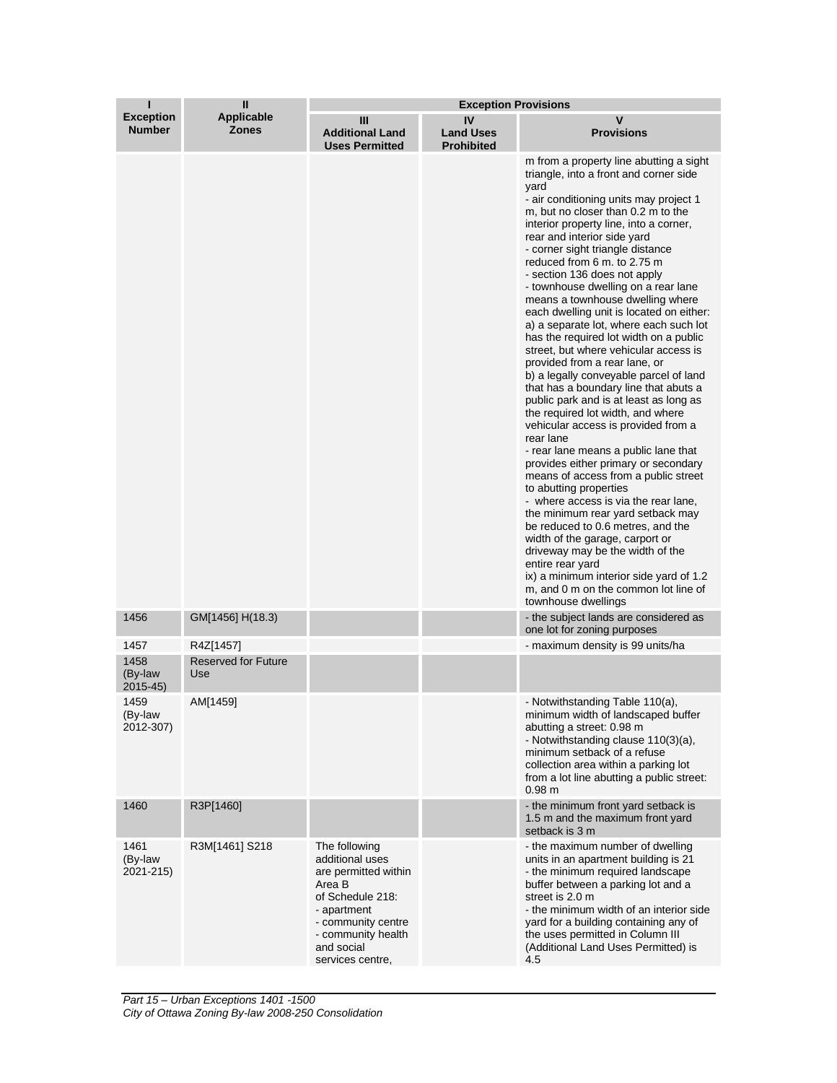| ı                                 | $\mathbf{I}$                      | <b>Exception Provisions</b>                                                                                                                                                         |                                             |                                                                                                                                                                                                                                                                                                                                                                                                                                                                                                                                                                                                                                                                                                                                                                                                                                                                                                                                                                                                                                                                                                                                                                                                                                                                                                                                           |  |
|-----------------------------------|-----------------------------------|-------------------------------------------------------------------------------------------------------------------------------------------------------------------------------------|---------------------------------------------|-------------------------------------------------------------------------------------------------------------------------------------------------------------------------------------------------------------------------------------------------------------------------------------------------------------------------------------------------------------------------------------------------------------------------------------------------------------------------------------------------------------------------------------------------------------------------------------------------------------------------------------------------------------------------------------------------------------------------------------------------------------------------------------------------------------------------------------------------------------------------------------------------------------------------------------------------------------------------------------------------------------------------------------------------------------------------------------------------------------------------------------------------------------------------------------------------------------------------------------------------------------------------------------------------------------------------------------------|--|
| <b>Exception</b><br><b>Number</b> | <b>Applicable</b><br><b>Zones</b> | Ш<br><b>Additional Land</b><br><b>Uses Permitted</b>                                                                                                                                | IV<br><b>Land Uses</b><br><b>Prohibited</b> | v<br><b>Provisions</b>                                                                                                                                                                                                                                                                                                                                                                                                                                                                                                                                                                                                                                                                                                                                                                                                                                                                                                                                                                                                                                                                                                                                                                                                                                                                                                                    |  |
|                                   |                                   |                                                                                                                                                                                     |                                             | m from a property line abutting a sight<br>triangle, into a front and corner side<br>yard<br>- air conditioning units may project 1<br>m, but no closer than 0.2 m to the<br>interior property line, into a corner,<br>rear and interior side yard<br>- corner sight triangle distance<br>reduced from 6 m. to 2.75 m<br>- section 136 does not apply<br>- townhouse dwelling on a rear lane<br>means a townhouse dwelling where<br>each dwelling unit is located on either:<br>a) a separate lot, where each such lot<br>has the required lot width on a public<br>street, but where vehicular access is<br>provided from a rear lane, or<br>b) a legally conveyable parcel of land<br>that has a boundary line that abuts a<br>public park and is at least as long as<br>the required lot width, and where<br>vehicular access is provided from a<br>rear lane<br>- rear lane means a public lane that<br>provides either primary or secondary<br>means of access from a public street<br>to abutting properties<br>- where access is via the rear lane,<br>the minimum rear yard setback may<br>be reduced to 0.6 metres, and the<br>width of the garage, carport or<br>driveway may be the width of the<br>entire rear yard<br>ix) a minimum interior side yard of 1.2<br>m, and 0 m on the common lot line of<br>townhouse dwellings |  |
| 1456                              | GM[1456] H(18.3)                  |                                                                                                                                                                                     |                                             | - the subject lands are considered as<br>one lot for zoning purposes                                                                                                                                                                                                                                                                                                                                                                                                                                                                                                                                                                                                                                                                                                                                                                                                                                                                                                                                                                                                                                                                                                                                                                                                                                                                      |  |
| 1457                              | R4Z[1457]                         |                                                                                                                                                                                     |                                             | - maximum density is 99 units/ha                                                                                                                                                                                                                                                                                                                                                                                                                                                                                                                                                                                                                                                                                                                                                                                                                                                                                                                                                                                                                                                                                                                                                                                                                                                                                                          |  |
| 1458<br>(By-law<br>$2015 - 45$    | <b>Reserved for Future</b><br>Use |                                                                                                                                                                                     |                                             |                                                                                                                                                                                                                                                                                                                                                                                                                                                                                                                                                                                                                                                                                                                                                                                                                                                                                                                                                                                                                                                                                                                                                                                                                                                                                                                                           |  |
| 1459<br>(By-law<br>2012-307)      | AM[1459]                          |                                                                                                                                                                                     |                                             | - Notwithstanding Table 110(a),<br>minimum width of landscaped buffer<br>abutting a street: 0.98 m<br>- Notwithstanding clause 110(3)(a),<br>minimum setback of a refuse<br>collection area within a parking lot<br>from a lot line abutting a public street:<br>0.98 m                                                                                                                                                                                                                                                                                                                                                                                                                                                                                                                                                                                                                                                                                                                                                                                                                                                                                                                                                                                                                                                                   |  |
| 1460                              | R3P[1460]                         |                                                                                                                                                                                     |                                             | - the minimum front yard setback is<br>1.5 m and the maximum front yard<br>setback is 3 m                                                                                                                                                                                                                                                                                                                                                                                                                                                                                                                                                                                                                                                                                                                                                                                                                                                                                                                                                                                                                                                                                                                                                                                                                                                 |  |
| 1461<br>(By-law<br>2021-215)      | R3M[1461] S218                    | The following<br>additional uses<br>are permitted within<br>Area B<br>of Schedule 218:<br>- apartment<br>- community centre<br>- community health<br>and social<br>services centre, |                                             | - the maximum number of dwelling<br>units in an apartment building is 21<br>- the minimum required landscape<br>buffer between a parking lot and a<br>street is 2.0 m<br>- the minimum width of an interior side<br>yard for a building containing any of<br>the uses permitted in Column III<br>(Additional Land Uses Permitted) is<br>4.5                                                                                                                                                                                                                                                                                                                                                                                                                                                                                                                                                                                                                                                                                                                                                                                                                                                                                                                                                                                               |  |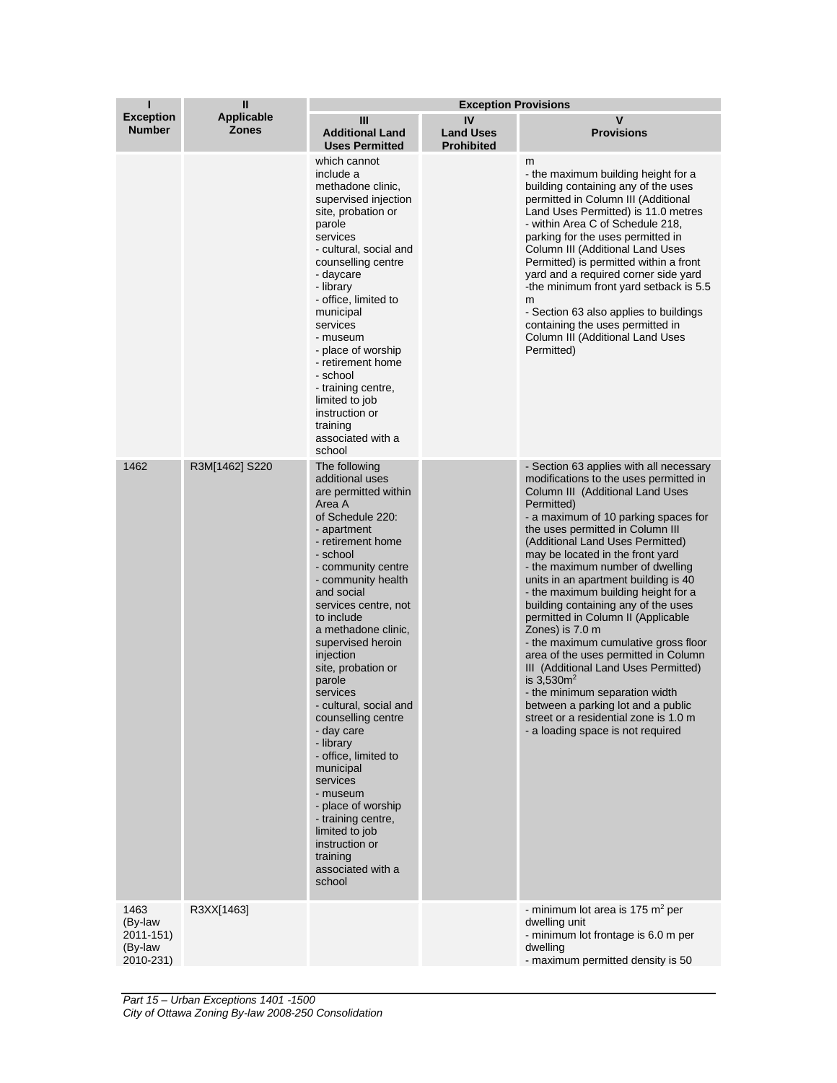| ı                                                    | Ш                          | <b>Exception Provisions</b>                                                                                                                                                                                                                                                                                                                                                                                                                                                                                                                                                                                    |                                             |                                                                                                                                                                                                                                                                                                                                                                                                                                                                                                                                                                                                                                                                                                                                                                                                           |  |
|------------------------------------------------------|----------------------------|----------------------------------------------------------------------------------------------------------------------------------------------------------------------------------------------------------------------------------------------------------------------------------------------------------------------------------------------------------------------------------------------------------------------------------------------------------------------------------------------------------------------------------------------------------------------------------------------------------------|---------------------------------------------|-----------------------------------------------------------------------------------------------------------------------------------------------------------------------------------------------------------------------------------------------------------------------------------------------------------------------------------------------------------------------------------------------------------------------------------------------------------------------------------------------------------------------------------------------------------------------------------------------------------------------------------------------------------------------------------------------------------------------------------------------------------------------------------------------------------|--|
| <b>Exception</b><br><b>Number</b>                    | Applicable<br><b>Zones</b> | Ш<br><b>Additional Land</b><br><b>Uses Permitted</b>                                                                                                                                                                                                                                                                                                                                                                                                                                                                                                                                                           | IV<br><b>Land Uses</b><br><b>Prohibited</b> | v<br><b>Provisions</b>                                                                                                                                                                                                                                                                                                                                                                                                                                                                                                                                                                                                                                                                                                                                                                                    |  |
|                                                      |                            | which cannot<br>include a<br>methadone clinic,<br>supervised injection<br>site, probation or<br>parole<br>services<br>- cultural, social and<br>counselling centre<br>- daycare<br>- library<br>- office, limited to<br>municipal<br>services<br>- museum<br>- place of worship<br>- retirement home<br>- school<br>- training centre,<br>limited to job<br>instruction or<br>training<br>associated with a<br>school                                                                                                                                                                                          |                                             | m<br>- the maximum building height for a<br>building containing any of the uses<br>permitted in Column III (Additional<br>Land Uses Permitted) is 11.0 metres<br>- within Area C of Schedule 218,<br>parking for the uses permitted in<br>Column III (Additional Land Uses<br>Permitted) is permitted within a front<br>yard and a required corner side yard<br>-the minimum front yard setback is 5.5<br>m<br>- Section 63 also applies to buildings<br>containing the uses permitted in<br>Column III (Additional Land Uses<br>Permitted)                                                                                                                                                                                                                                                               |  |
| 1462                                                 | R3M[1462] S220             | The following<br>additional uses<br>are permitted within<br>Area A<br>of Schedule 220:<br>- apartment<br>- retirement home<br>- school<br>- community centre<br>- community health<br>and social<br>services centre, not<br>to include<br>a methadone clinic,<br>supervised heroin<br>injection<br>site, probation or<br>parole<br>services<br>- cultural, social and<br>counselling centre<br>- day care<br>- library<br>- office, limited to<br>municipal<br>services<br>- museum<br>- place of worship<br>- training centre,<br>limited to job<br>instruction or<br>training<br>associated with a<br>school |                                             | - Section 63 applies with all necessary<br>modifications to the uses permitted in<br>Column III (Additional Land Uses<br>Permitted)<br>- a maximum of 10 parking spaces for<br>the uses permitted in Column III<br>(Additional Land Uses Permitted)<br>may be located in the front yard<br>- the maximum number of dwelling<br>units in an apartment building is 40<br>- the maximum building height for a<br>building containing any of the uses<br>permitted in Column II (Applicable<br>Zones) is 7.0 m<br>- the maximum cumulative gross floor<br>area of the uses permitted in Column<br>III (Additional Land Uses Permitted)<br>is $3,530m^2$<br>- the minimum separation width<br>between a parking lot and a public<br>street or a residential zone is 1.0 m<br>- a loading space is not required |  |
| 1463<br>(By-law<br>2011-151)<br>(By-law<br>2010-231) | R3XX[1463]                 |                                                                                                                                                                                                                                                                                                                                                                                                                                                                                                                                                                                                                |                                             | - minimum lot area is 175 $m2$ per<br>dwelling unit<br>- minimum lot frontage is 6.0 m per<br>dwelling<br>- maximum permitted density is 50                                                                                                                                                                                                                                                                                                                                                                                                                                                                                                                                                                                                                                                               |  |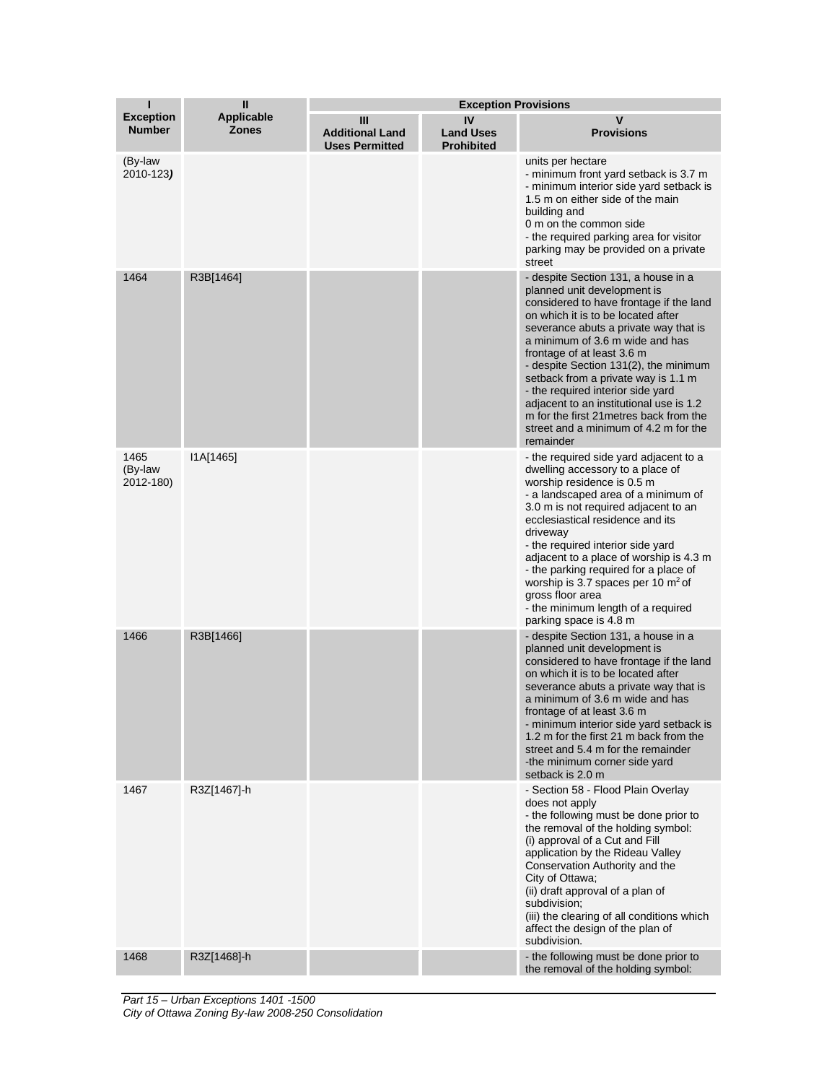| T                                 | $\mathbf{I}$                      | <b>Exception Provisions</b>                          |                                             |                                                                                                                                                                                                                                                                                                                                                                                                                                                                                                                                |
|-----------------------------------|-----------------------------------|------------------------------------------------------|---------------------------------------------|--------------------------------------------------------------------------------------------------------------------------------------------------------------------------------------------------------------------------------------------------------------------------------------------------------------------------------------------------------------------------------------------------------------------------------------------------------------------------------------------------------------------------------|
| <b>Exception</b><br><b>Number</b> | <b>Applicable</b><br><b>Zones</b> | Ш<br><b>Additional Land</b><br><b>Uses Permitted</b> | IV<br><b>Land Uses</b><br><b>Prohibited</b> | v<br><b>Provisions</b>                                                                                                                                                                                                                                                                                                                                                                                                                                                                                                         |
| (By-law<br>2010-123)              |                                   |                                                      |                                             | units per hectare<br>- minimum front yard setback is 3.7 m<br>- minimum interior side yard setback is<br>1.5 m on either side of the main<br>building and<br>0 m on the common side<br>- the required parking area for visitor<br>parking may be provided on a private<br>street                                                                                                                                                                                                                                               |
| 1464                              | R3B[1464]                         |                                                      |                                             | - despite Section 131, a house in a<br>planned unit development is<br>considered to have frontage if the land<br>on which it is to be located after<br>severance abuts a private way that is<br>a minimum of 3.6 m wide and has<br>frontage of at least 3.6 m<br>- despite Section 131(2), the minimum<br>setback from a private way is 1.1 m<br>- the required interior side yard<br>adjacent to an institutional use is 1.2<br>m for the first 21 metres back from the<br>street and a minimum of 4.2 m for the<br>remainder |
| 1465<br>(By-law<br>2012-180)      | I1A[1465]                         |                                                      |                                             | - the required side yard adjacent to a<br>dwelling accessory to a place of<br>worship residence is 0.5 m<br>- a landscaped area of a minimum of<br>3.0 m is not required adjacent to an<br>ecclesiastical residence and its<br>driveway<br>- the required interior side yard<br>adjacent to a place of worship is 4.3 m<br>- the parking required for a place of<br>worship is 3.7 spaces per 10 $\mathrm{m}^2$ of<br>gross floor area<br>- the minimum length of a required<br>parking space is 4.8 m                         |
| 1466                              | R3B[1466]                         |                                                      |                                             | - despite Section 131, a house in a<br>planned unit development is<br>considered to have frontage if the land<br>on which it is to be located after<br>severance abuts a private way that is<br>a minimum of 3.6 m wide and has<br>frontage of at least 3.6 m<br>- minimum interior side yard setback is<br>1.2 m for the first 21 m back from the<br>street and 5.4 m for the remainder<br>-the minimum corner side yard<br>setback is 2.0 m                                                                                  |
| 1467                              | R3Z[1467]-h                       |                                                      |                                             | - Section 58 - Flood Plain Overlay<br>does not apply<br>- the following must be done prior to<br>the removal of the holding symbol:<br>(i) approval of a Cut and Fill<br>application by the Rideau Valley<br>Conservation Authority and the<br>City of Ottawa;<br>(ii) draft approval of a plan of<br>subdivision;<br>(iii) the clearing of all conditions which<br>affect the design of the plan of<br>subdivision.                                                                                                           |
| 1468                              | R3Z[1468]-h                       |                                                      |                                             | - the following must be done prior to<br>the removal of the holding symbol:                                                                                                                                                                                                                                                                                                                                                                                                                                                    |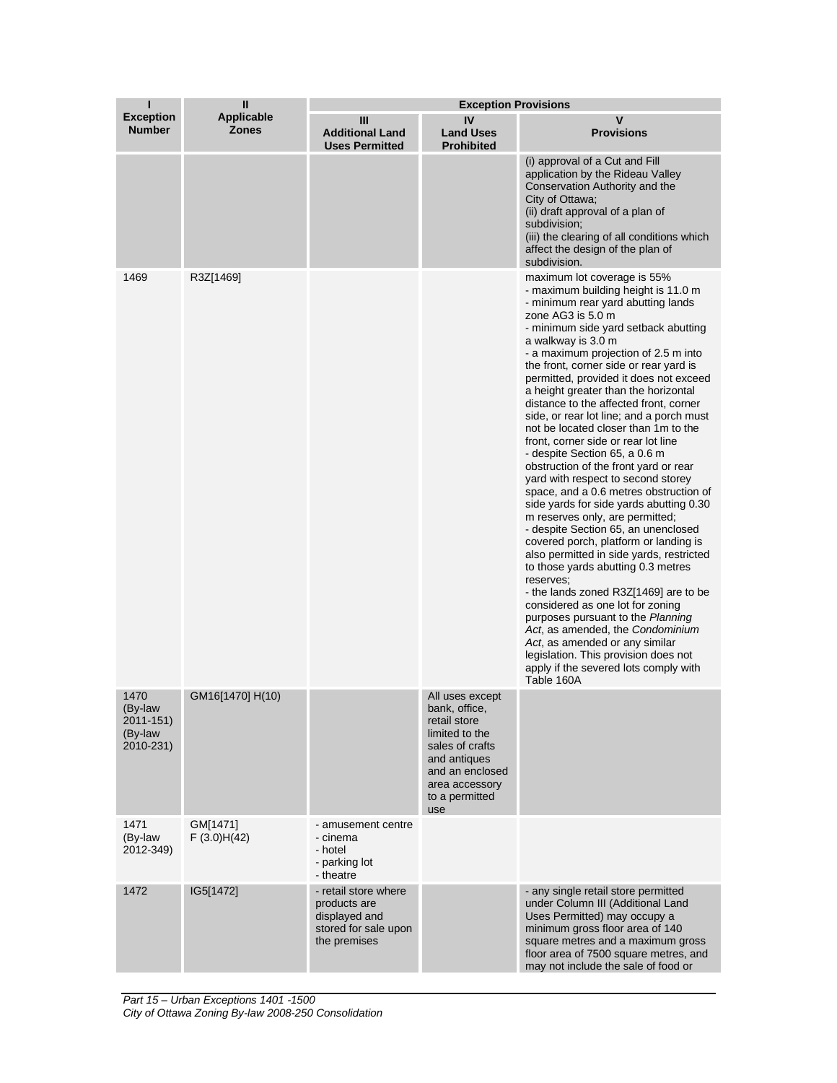| П                                                    | $\mathbf{I}$                      | <b>Exception Provisions</b>                                                                   |                                                                                                                                                                     |                                                                                                                                                                                                                                                                                                                                                                                                                                                                                                                                                                                                                                                                                                                                                                                                                                                                                                                                                                                                                                                                                                                                                                                                                                                    |
|------------------------------------------------------|-----------------------------------|-----------------------------------------------------------------------------------------------|---------------------------------------------------------------------------------------------------------------------------------------------------------------------|----------------------------------------------------------------------------------------------------------------------------------------------------------------------------------------------------------------------------------------------------------------------------------------------------------------------------------------------------------------------------------------------------------------------------------------------------------------------------------------------------------------------------------------------------------------------------------------------------------------------------------------------------------------------------------------------------------------------------------------------------------------------------------------------------------------------------------------------------------------------------------------------------------------------------------------------------------------------------------------------------------------------------------------------------------------------------------------------------------------------------------------------------------------------------------------------------------------------------------------------------|
| <b>Exception</b><br><b>Number</b>                    | <b>Applicable</b><br><b>Zones</b> | Ш<br><b>Additional Land</b><br><b>Uses Permitted</b>                                          | IV<br><b>Land Uses</b><br><b>Prohibited</b>                                                                                                                         | v<br><b>Provisions</b>                                                                                                                                                                                                                                                                                                                                                                                                                                                                                                                                                                                                                                                                                                                                                                                                                                                                                                                                                                                                                                                                                                                                                                                                                             |
|                                                      |                                   |                                                                                               |                                                                                                                                                                     | (i) approval of a Cut and Fill<br>application by the Rideau Valley<br>Conservation Authority and the<br>City of Ottawa;<br>(ii) draft approval of a plan of<br>subdivision;<br>(iii) the clearing of all conditions which<br>affect the design of the plan of<br>subdivision.                                                                                                                                                                                                                                                                                                                                                                                                                                                                                                                                                                                                                                                                                                                                                                                                                                                                                                                                                                      |
| 1469                                                 | R3Z[1469]                         |                                                                                               |                                                                                                                                                                     | maximum lot coverage is 55%<br>- maximum building height is 11.0 m<br>- minimum rear yard abutting lands<br>zone AG3 is 5.0 m<br>- minimum side yard setback abutting<br>a walkway is 3.0 m<br>- a maximum projection of 2.5 m into<br>the front, corner side or rear yard is<br>permitted, provided it does not exceed<br>a height greater than the horizontal<br>distance to the affected front, corner<br>side, or rear lot line; and a porch must<br>not be located closer than 1m to the<br>front, corner side or rear lot line<br>- despite Section 65, a 0.6 m<br>obstruction of the front yard or rear<br>yard with respect to second storey<br>space, and a 0.6 metres obstruction of<br>side yards for side yards abutting 0.30<br>m reserves only, are permitted;<br>- despite Section 65, an unenclosed<br>covered porch, platform or landing is<br>also permitted in side yards, restricted<br>to those yards abutting 0.3 metres<br>reserves;<br>- the lands zoned R3Z[1469] are to be<br>considered as one lot for zoning<br>purposes pursuant to the Planning<br>Act, as amended, the Condominium<br>Act, as amended or any similar<br>legislation. This provision does not<br>apply if the severed lots comply with<br>Table 160A |
| 1470<br>(By-law<br>2011-151)<br>(By-law<br>2010-231) | GM16[1470] H(10)                  |                                                                                               | All uses except<br>bank, office,<br>retail store<br>limited to the<br>sales of crafts<br>and antiques<br>and an enclosed<br>area accessory<br>to a permitted<br>use |                                                                                                                                                                                                                                                                                                                                                                                                                                                                                                                                                                                                                                                                                                                                                                                                                                                                                                                                                                                                                                                                                                                                                                                                                                                    |
| 1471<br>(By-law<br>2012-349)                         | GM[1471]<br>F(3.0)H(42)           | - amusement centre<br>- cinema<br>- hotel<br>- parking lot<br>- theatre                       |                                                                                                                                                                     |                                                                                                                                                                                                                                                                                                                                                                                                                                                                                                                                                                                                                                                                                                                                                                                                                                                                                                                                                                                                                                                                                                                                                                                                                                                    |
| 1472                                                 | IG5[1472]                         | - retail store where<br>products are<br>displayed and<br>stored for sale upon<br>the premises |                                                                                                                                                                     | - any single retail store permitted<br>under Column III (Additional Land<br>Uses Permitted) may occupy a<br>minimum gross floor area of 140<br>square metres and a maximum gross<br>floor area of 7500 square metres, and<br>may not include the sale of food or                                                                                                                                                                                                                                                                                                                                                                                                                                                                                                                                                                                                                                                                                                                                                                                                                                                                                                                                                                                   |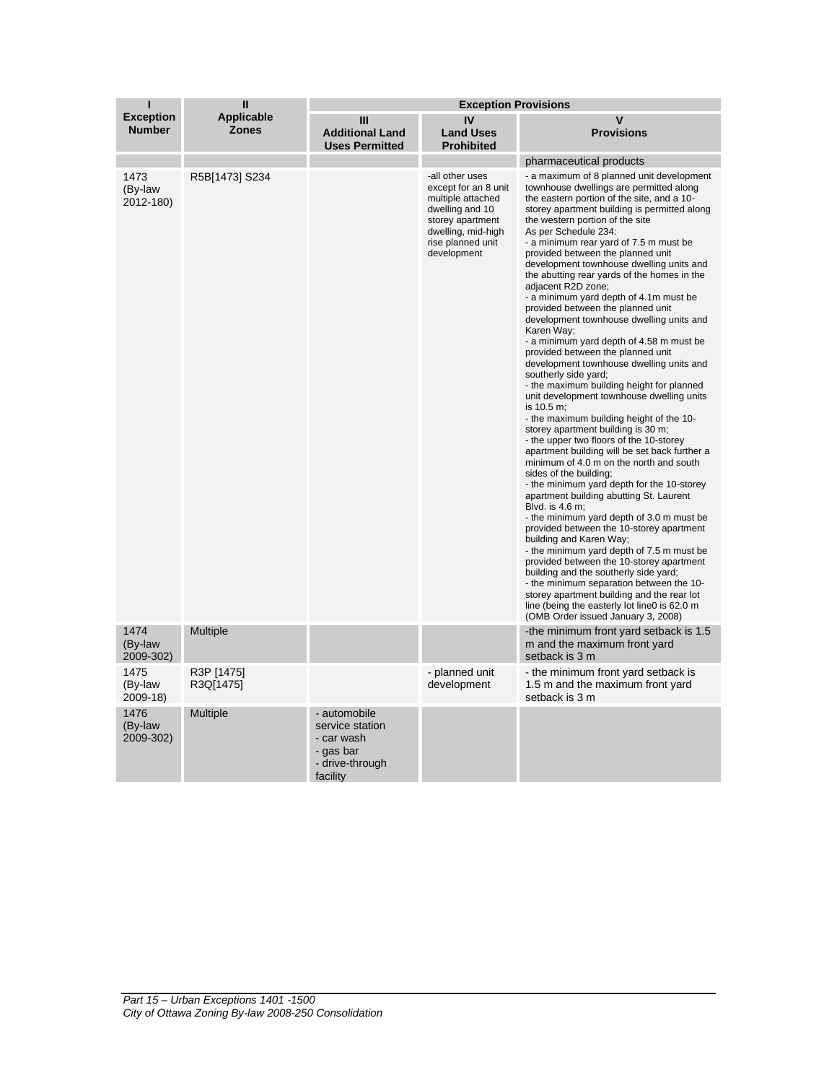| ı                                 | П                                 | <b>Exception Provisions</b>                                                               |                                                                                                                                                               |                                                                                                                                                                                                                                                                                                                                                                                                                                                                                                                                                                                                                                                                                                                                                                                                                                                                                                                                                                                                                                                                                                                                                                                                                                                                                                                                                                                                                                                                                                                                                                                                                                                          |  |
|-----------------------------------|-----------------------------------|-------------------------------------------------------------------------------------------|---------------------------------------------------------------------------------------------------------------------------------------------------------------|----------------------------------------------------------------------------------------------------------------------------------------------------------------------------------------------------------------------------------------------------------------------------------------------------------------------------------------------------------------------------------------------------------------------------------------------------------------------------------------------------------------------------------------------------------------------------------------------------------------------------------------------------------------------------------------------------------------------------------------------------------------------------------------------------------------------------------------------------------------------------------------------------------------------------------------------------------------------------------------------------------------------------------------------------------------------------------------------------------------------------------------------------------------------------------------------------------------------------------------------------------------------------------------------------------------------------------------------------------------------------------------------------------------------------------------------------------------------------------------------------------------------------------------------------------------------------------------------------------------------------------------------------------|--|
| <b>Exception</b><br><b>Number</b> | <b>Applicable</b><br><b>Zones</b> | Ш<br><b>Additional Land</b><br><b>Uses Permitted</b>                                      | IV<br><b>Land Uses</b><br><b>Prohibited</b>                                                                                                                   | v<br><b>Provisions</b>                                                                                                                                                                                                                                                                                                                                                                                                                                                                                                                                                                                                                                                                                                                                                                                                                                                                                                                                                                                                                                                                                                                                                                                                                                                                                                                                                                                                                                                                                                                                                                                                                                   |  |
|                                   |                                   |                                                                                           |                                                                                                                                                               | pharmaceutical products                                                                                                                                                                                                                                                                                                                                                                                                                                                                                                                                                                                                                                                                                                                                                                                                                                                                                                                                                                                                                                                                                                                                                                                                                                                                                                                                                                                                                                                                                                                                                                                                                                  |  |
| 1473<br>(By-law<br>2012-180)      | R5B[1473] S234                    |                                                                                           | -all other uses<br>except for an 8 unit<br>multiple attached<br>dwelling and 10<br>storey apartment<br>dwelling, mid-high<br>rise planned unit<br>development | - a maximum of 8 planned unit development<br>townhouse dwellings are permitted along<br>the eastern portion of the site, and a 10-<br>storey apartment building is permitted along<br>the western portion of the site<br>As per Schedule 234:<br>- a minimum rear yard of 7.5 m must be<br>provided between the planned unit<br>development townhouse dwelling units and<br>the abutting rear yards of the homes in the<br>adjacent R2D zone;<br>- a minimum yard depth of 4.1m must be<br>provided between the planned unit<br>development townhouse dwelling units and<br>Karen Way;<br>- a minimum yard depth of 4.58 m must be<br>provided between the planned unit<br>development townhouse dwelling units and<br>southerly side yard;<br>- the maximum building height for planned<br>unit development townhouse dwelling units<br>is 10.5 m:<br>- the maximum building height of the 10-<br>storey apartment building is 30 m;<br>- the upper two floors of the 10-storey<br>apartment building will be set back further a<br>minimum of 4.0 m on the north and south<br>sides of the building;<br>- the minimum yard depth for the 10-storey<br>apartment building abutting St. Laurent<br>Blvd. is 4.6 m;<br>- the minimum yard depth of 3.0 m must be<br>provided between the 10-storey apartment<br>building and Karen Way;<br>- the minimum yard depth of 7.5 m must be<br>provided between the 10-storey apartment<br>building and the southerly side yard;<br>- the minimum separation between the 10-<br>storey apartment building and the rear lot<br>line (being the easterly lot line0 is 62.0 m<br>(OMB Order issued January 3, 2008) |  |
| 1474<br>(By-law<br>2009-302)      | <b>Multiple</b>                   |                                                                                           |                                                                                                                                                               | the minimum front yard setback is 1.5<br>m and the maximum front yard<br>setback is 3 m                                                                                                                                                                                                                                                                                                                                                                                                                                                                                                                                                                                                                                                                                                                                                                                                                                                                                                                                                                                                                                                                                                                                                                                                                                                                                                                                                                                                                                                                                                                                                                  |  |
| 1475<br>(By-law<br>2009-18)       | R3P [1475]<br>R3Q[1475]           |                                                                                           | - planned unit<br>development                                                                                                                                 | - the minimum front yard setback is<br>1.5 m and the maximum front yard<br>setback is 3 m                                                                                                                                                                                                                                                                                                                                                                                                                                                                                                                                                                                                                                                                                                                                                                                                                                                                                                                                                                                                                                                                                                                                                                                                                                                                                                                                                                                                                                                                                                                                                                |  |
| 1476<br>(By-law<br>2009-302)      | <b>Multiple</b>                   | - automobile<br>service station<br>- car wash<br>- gas bar<br>- drive-through<br>facility |                                                                                                                                                               |                                                                                                                                                                                                                                                                                                                                                                                                                                                                                                                                                                                                                                                                                                                                                                                                                                                                                                                                                                                                                                                                                                                                                                                                                                                                                                                                                                                                                                                                                                                                                                                                                                                          |  |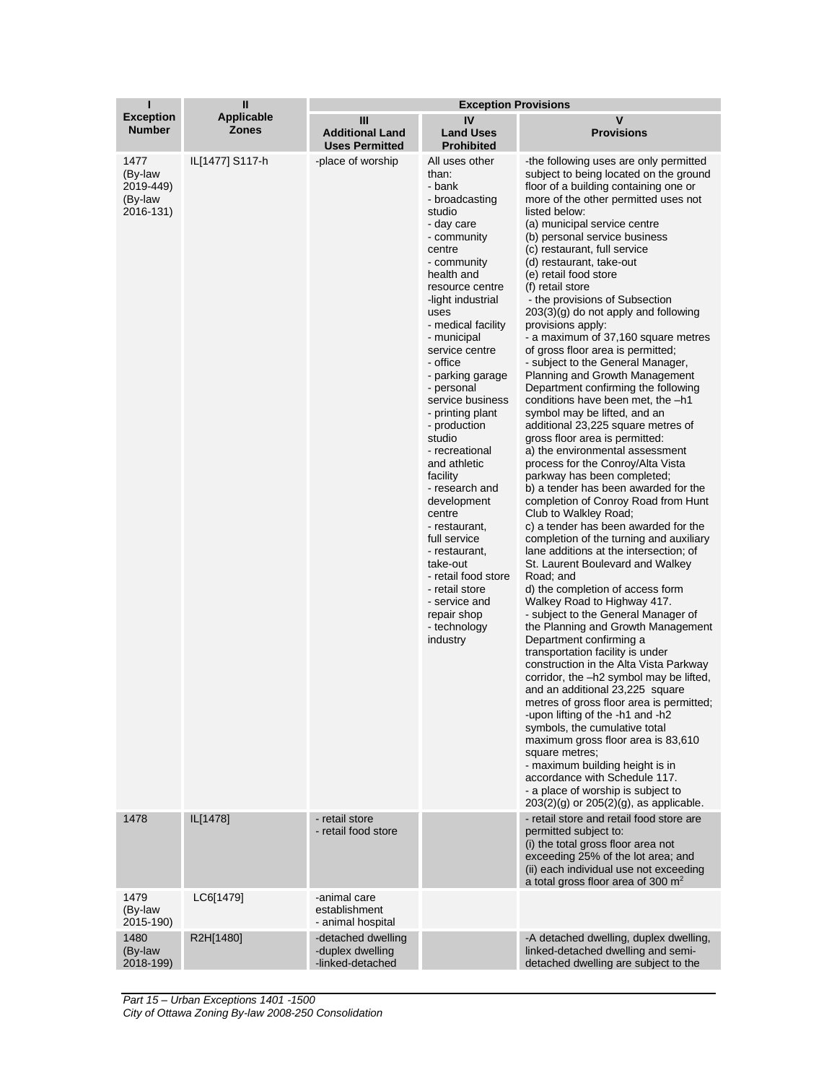| ı                                                            | $\mathbf{I}$                      | <b>Exception Provisions</b>                                |                                                                                                                                                                                                                                                                                                                                                                                                                                                                                                                                                                                                                      |                                                                                                                                                                                                                                                                                                                                                                                                                                                                                                                                                                                                                                                                                                                                                                                                                                                                                                                                                                                                                                                                                                                                                                                                                                                                                                                                                                                                                                                                                                                                                                                                                                                                                                                                                                                                                                                                                                                        |  |
|--------------------------------------------------------------|-----------------------------------|------------------------------------------------------------|----------------------------------------------------------------------------------------------------------------------------------------------------------------------------------------------------------------------------------------------------------------------------------------------------------------------------------------------------------------------------------------------------------------------------------------------------------------------------------------------------------------------------------------------------------------------------------------------------------------------|------------------------------------------------------------------------------------------------------------------------------------------------------------------------------------------------------------------------------------------------------------------------------------------------------------------------------------------------------------------------------------------------------------------------------------------------------------------------------------------------------------------------------------------------------------------------------------------------------------------------------------------------------------------------------------------------------------------------------------------------------------------------------------------------------------------------------------------------------------------------------------------------------------------------------------------------------------------------------------------------------------------------------------------------------------------------------------------------------------------------------------------------------------------------------------------------------------------------------------------------------------------------------------------------------------------------------------------------------------------------------------------------------------------------------------------------------------------------------------------------------------------------------------------------------------------------------------------------------------------------------------------------------------------------------------------------------------------------------------------------------------------------------------------------------------------------------------------------------------------------------------------------------------------------|--|
| <b>Exception</b><br><b>Number</b>                            | <b>Applicable</b><br><b>Zones</b> | Ш<br><b>Additional Land</b><br><b>Uses Permitted</b>       | IV<br><b>Land Uses</b><br><b>Prohibited</b>                                                                                                                                                                                                                                                                                                                                                                                                                                                                                                                                                                          | V<br><b>Provisions</b>                                                                                                                                                                                                                                                                                                                                                                                                                                                                                                                                                                                                                                                                                                                                                                                                                                                                                                                                                                                                                                                                                                                                                                                                                                                                                                                                                                                                                                                                                                                                                                                                                                                                                                                                                                                                                                                                                                 |  |
| 1477<br>(By-law<br>2019-449)<br>(By-law<br>2016-131)<br>1478 | IL[1477] S117-h<br>IL[1478]       | -place of worship<br>- retail store                        | All uses other<br>than:<br>- bank<br>- broadcasting<br>studio<br>- day care<br>- community<br>centre<br>- community<br>health and<br>resource centre<br>-light industrial<br>uses<br>- medical facility<br>- municipal<br>service centre<br>- office<br>- parking garage<br>- personal<br>service business<br>- printing plant<br>- production<br>studio<br>- recreational<br>and athletic<br>facility<br>- research and<br>development<br>centre<br>- restaurant,<br>full service<br>- restaurant,<br>take-out<br>- retail food store<br>- retail store<br>- service and<br>repair shop<br>- technology<br>industry | -the following uses are only permitted<br>subject to being located on the ground<br>floor of a building containing one or<br>more of the other permitted uses not<br>listed below:<br>(a) municipal service centre<br>(b) personal service business<br>(c) restaurant, full service<br>(d) restaurant, take-out<br>(e) retail food store<br>(f) retail store<br>- the provisions of Subsection<br>$203(3)(g)$ do not apply and following<br>provisions apply:<br>- a maximum of 37,160 square metres<br>of gross floor area is permitted;<br>- subject to the General Manager,<br>Planning and Growth Management<br>Department confirming the following<br>conditions have been met, the -h1<br>symbol may be lifted, and an<br>additional 23,225 square metres of<br>gross floor area is permitted:<br>a) the environmental assessment<br>process for the Conroy/Alta Vista<br>parkway has been completed;<br>b) a tender has been awarded for the<br>completion of Conroy Road from Hunt<br>Club to Walkley Road;<br>c) a tender has been awarded for the<br>completion of the turning and auxiliary<br>lane additions at the intersection; of<br>St. Laurent Boulevard and Walkey<br>Road; and<br>d) the completion of access form<br>Walkey Road to Highway 417.<br>- subject to the General Manager of<br>the Planning and Growth Management<br>Department confirming a<br>transportation facility is under<br>construction in the Alta Vista Parkway<br>corridor, the -h2 symbol may be lifted,<br>and an additional 23,225 square<br>metres of gross floor area is permitted;<br>-upon lifting of the -h1 and -h2<br>symbols, the cumulative total<br>maximum gross floor area is 83,610<br>square metres;<br>- maximum building height is in<br>accordance with Schedule 117.<br>- a place of worship is subject to<br>$203(2)(q)$ or $205(2)(q)$ , as applicable.<br>- retail store and retail food store are |  |
|                                                              |                                   | - retail food store                                        |                                                                                                                                                                                                                                                                                                                                                                                                                                                                                                                                                                                                                      | permitted subject to:<br>(i) the total gross floor area not<br>exceeding 25% of the lot area; and<br>(ii) each individual use not exceeding<br>a total gross floor area of 300 $m2$                                                                                                                                                                                                                                                                                                                                                                                                                                                                                                                                                                                                                                                                                                                                                                                                                                                                                                                                                                                                                                                                                                                                                                                                                                                                                                                                                                                                                                                                                                                                                                                                                                                                                                                                    |  |
| 1479<br>(By-law<br>2015-190)                                 | LC6[1479]                         | -animal care<br>establishment<br>- animal hospital         |                                                                                                                                                                                                                                                                                                                                                                                                                                                                                                                                                                                                                      |                                                                                                                                                                                                                                                                                                                                                                                                                                                                                                                                                                                                                                                                                                                                                                                                                                                                                                                                                                                                                                                                                                                                                                                                                                                                                                                                                                                                                                                                                                                                                                                                                                                                                                                                                                                                                                                                                                                        |  |
| 1480<br>(By-law<br>2018-199)                                 | R2H[1480]                         | -detached dwelling<br>-duplex dwelling<br>-linked-detached |                                                                                                                                                                                                                                                                                                                                                                                                                                                                                                                                                                                                                      | -A detached dwelling, duplex dwelling,<br>linked-detached dwelling and semi-<br>detached dwelling are subject to the                                                                                                                                                                                                                                                                                                                                                                                                                                                                                                                                                                                                                                                                                                                                                                                                                                                                                                                                                                                                                                                                                                                                                                                                                                                                                                                                                                                                                                                                                                                                                                                                                                                                                                                                                                                                   |  |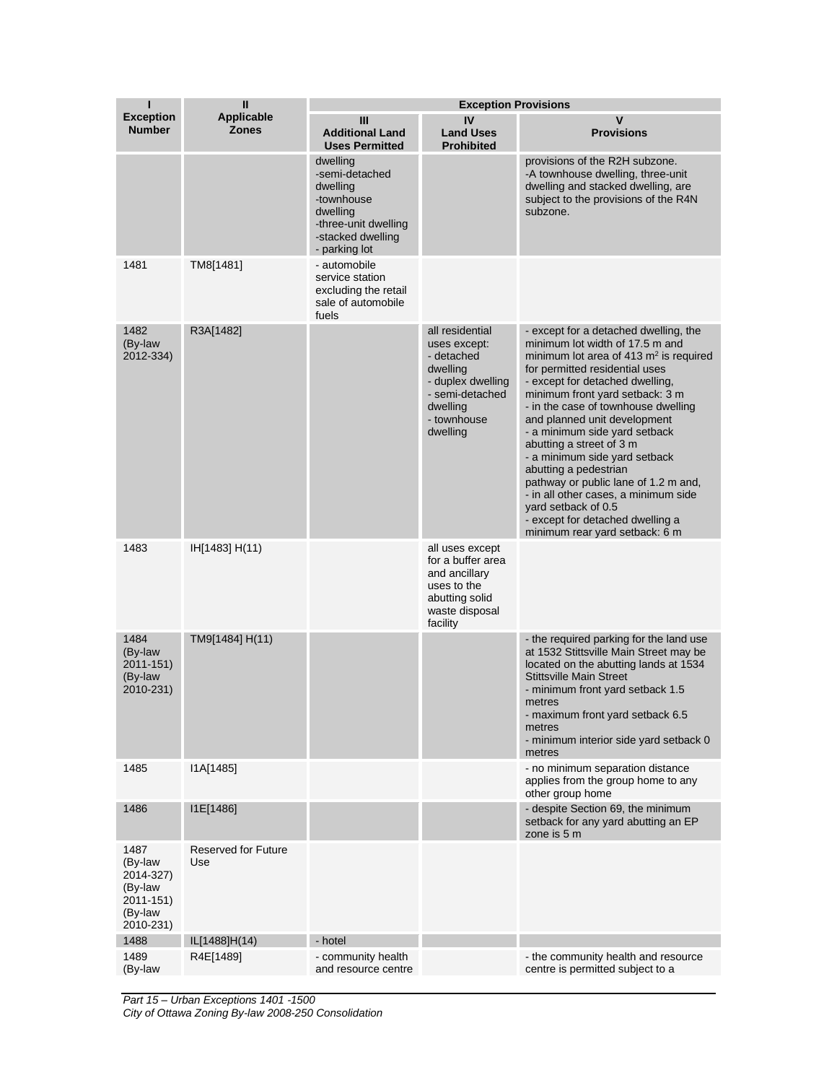| ı                                                                            | $\mathbf{I}$                      |                                                                                                                                | <b>Exception Provisions</b>                                                                                                              |                                                                                                                                                                                                                                                                                                                                                                                                                                                                                                                                                                                                         |
|------------------------------------------------------------------------------|-----------------------------------|--------------------------------------------------------------------------------------------------------------------------------|------------------------------------------------------------------------------------------------------------------------------------------|---------------------------------------------------------------------------------------------------------------------------------------------------------------------------------------------------------------------------------------------------------------------------------------------------------------------------------------------------------------------------------------------------------------------------------------------------------------------------------------------------------------------------------------------------------------------------------------------------------|
| <b>Exception</b><br><b>Number</b>                                            | <b>Applicable</b><br><b>Zones</b> | Ш<br><b>Additional Land</b><br><b>Uses Permitted</b>                                                                           | IV<br><b>Land Uses</b><br><b>Prohibited</b>                                                                                              | $\mathbf v$<br><b>Provisions</b>                                                                                                                                                                                                                                                                                                                                                                                                                                                                                                                                                                        |
|                                                                              |                                   | dwelling<br>-semi-detached<br>dwelling<br>-townhouse<br>dwelling<br>-three-unit dwelling<br>-stacked dwelling<br>- parking lot |                                                                                                                                          | provisions of the R2H subzone.<br>-A townhouse dwelling, three-unit<br>dwelling and stacked dwelling, are<br>subject to the provisions of the R4N<br>subzone.                                                                                                                                                                                                                                                                                                                                                                                                                                           |
| 1481                                                                         | TM8[1481]                         | - automobile<br>service station<br>excluding the retail<br>sale of automobile<br>fuels                                         |                                                                                                                                          |                                                                                                                                                                                                                                                                                                                                                                                                                                                                                                                                                                                                         |
| 1482<br>(By-law<br>2012-334)                                                 | R3A[1482]                         |                                                                                                                                | all residential<br>uses except:<br>- detached<br>dwelling<br>- duplex dwelling<br>- semi-detached<br>dwelling<br>- townhouse<br>dwelling | - except for a detached dwelling, the<br>minimum lot width of 17.5 m and<br>minimum lot area of 413 $m2$ is required<br>for permitted residential uses<br>- except for detached dwelling,<br>minimum front yard setback: 3 m<br>- in the case of townhouse dwelling<br>and planned unit development<br>- a minimum side yard setback<br>abutting a street of 3 m<br>- a minimum side yard setback<br>abutting a pedestrian<br>pathway or public lane of 1.2 m and,<br>- in all other cases, a minimum side<br>yard setback of 0.5<br>- except for detached dwelling a<br>minimum rear yard setback: 6 m |
| 1483                                                                         | IH[1483] H(11)                    |                                                                                                                                | all uses except<br>for a buffer area<br>and ancillary<br>uses to the<br>abutting solid<br>waste disposal<br>facility                     |                                                                                                                                                                                                                                                                                                                                                                                                                                                                                                                                                                                                         |
| 1484<br>(By-law<br>2011-151)<br>(By-law<br>2010-231)                         | TM9[1484] H(11)                   |                                                                                                                                |                                                                                                                                          | - the required parking for the land use<br>at 1532 Stittsville Main Street may be<br>located on the abutting lands at 1534<br><b>Stittsville Main Street</b><br>- minimum front yard setback 1.5<br>metres<br>- maximum front yard setback 6.5<br>metres<br>- minimum interior side yard setback 0<br>metres                                                                                                                                                                                                                                                                                            |
| 1485                                                                         | I1A[1485]                         |                                                                                                                                |                                                                                                                                          | - no minimum separation distance<br>applies from the group home to any<br>other group home                                                                                                                                                                                                                                                                                                                                                                                                                                                                                                              |
| 1486                                                                         | I1E[1486]                         |                                                                                                                                |                                                                                                                                          | - despite Section 69, the minimum<br>setback for any yard abutting an EP<br>zone is 5 m                                                                                                                                                                                                                                                                                                                                                                                                                                                                                                                 |
| 1487<br>(By-law<br>2014-327)<br>(By-law<br>2011-151)<br>(By-law<br>2010-231) | Reserved for Future<br>Use        |                                                                                                                                |                                                                                                                                          |                                                                                                                                                                                                                                                                                                                                                                                                                                                                                                                                                                                                         |
| 1488                                                                         | IL[1488]H(14)                     | - hotel                                                                                                                        |                                                                                                                                          |                                                                                                                                                                                                                                                                                                                                                                                                                                                                                                                                                                                                         |
| 1489<br>(By-law                                                              | R4E[1489]                         | - community health<br>and resource centre                                                                                      |                                                                                                                                          | - the community health and resource<br>centre is permitted subject to a                                                                                                                                                                                                                                                                                                                                                                                                                                                                                                                                 |

*Part 15 – Urban Exceptions 1401 -1500 City of Ottawa Zoning By-law 2008-250 Consolidation*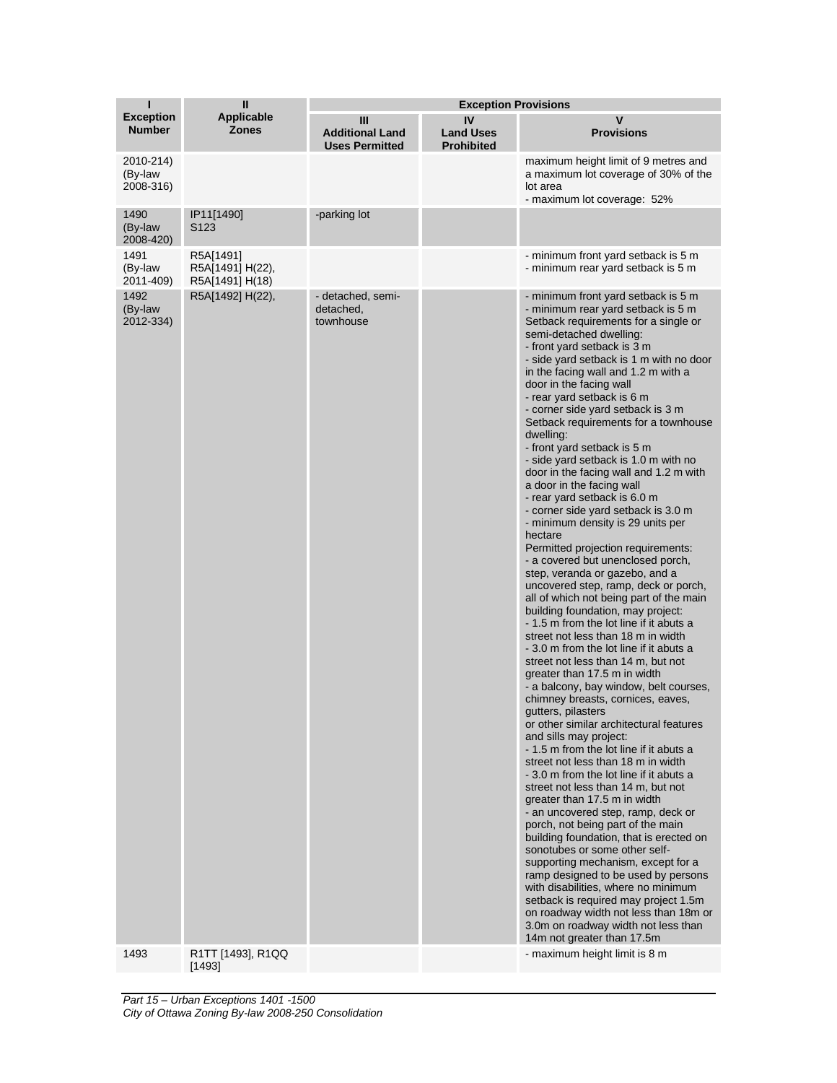| T                                 | $\mathbf{I}$                                     | <b>Exception Provisions</b>                          |                                             |                                                                                                                                                                                                                                                                                                                                                                                                                                                                                                                                                                                                                                                                                                                                                                                                                                                                                                                                                                                                                                                                                                                                                                                                                                                                                                                                                                                                                                                                                                                                                                                                                                                                                                                                                                                                                                                                                                                                          |
|-----------------------------------|--------------------------------------------------|------------------------------------------------------|---------------------------------------------|------------------------------------------------------------------------------------------------------------------------------------------------------------------------------------------------------------------------------------------------------------------------------------------------------------------------------------------------------------------------------------------------------------------------------------------------------------------------------------------------------------------------------------------------------------------------------------------------------------------------------------------------------------------------------------------------------------------------------------------------------------------------------------------------------------------------------------------------------------------------------------------------------------------------------------------------------------------------------------------------------------------------------------------------------------------------------------------------------------------------------------------------------------------------------------------------------------------------------------------------------------------------------------------------------------------------------------------------------------------------------------------------------------------------------------------------------------------------------------------------------------------------------------------------------------------------------------------------------------------------------------------------------------------------------------------------------------------------------------------------------------------------------------------------------------------------------------------------------------------------------------------------------------------------------------------|
| <b>Exception</b><br><b>Number</b> | <b>Applicable</b><br><b>Zones</b>                | Ш<br><b>Additional Land</b><br><b>Uses Permitted</b> | IV<br><b>Land Uses</b><br><b>Prohibited</b> | V<br><b>Provisions</b>                                                                                                                                                                                                                                                                                                                                                                                                                                                                                                                                                                                                                                                                                                                                                                                                                                                                                                                                                                                                                                                                                                                                                                                                                                                                                                                                                                                                                                                                                                                                                                                                                                                                                                                                                                                                                                                                                                                   |
| 2010-214)<br>(By-law<br>2008-316) |                                                  |                                                      |                                             | maximum height limit of 9 metres and<br>a maximum lot coverage of 30% of the<br>lot area<br>- maximum lot coverage: 52%                                                                                                                                                                                                                                                                                                                                                                                                                                                                                                                                                                                                                                                                                                                                                                                                                                                                                                                                                                                                                                                                                                                                                                                                                                                                                                                                                                                                                                                                                                                                                                                                                                                                                                                                                                                                                  |
| 1490<br>(By-law<br>2008-420)      | IP11[1490]<br>S <sub>123</sub>                   | -parking lot                                         |                                             |                                                                                                                                                                                                                                                                                                                                                                                                                                                                                                                                                                                                                                                                                                                                                                                                                                                                                                                                                                                                                                                                                                                                                                                                                                                                                                                                                                                                                                                                                                                                                                                                                                                                                                                                                                                                                                                                                                                                          |
| 1491<br>(By-law<br>2011-409)      | R5A[1491]<br>R5A[1491] H(22),<br>R5A[1491] H(18) |                                                      |                                             | - minimum front yard setback is 5 m<br>- minimum rear yard setback is 5 m                                                                                                                                                                                                                                                                                                                                                                                                                                                                                                                                                                                                                                                                                                                                                                                                                                                                                                                                                                                                                                                                                                                                                                                                                                                                                                                                                                                                                                                                                                                                                                                                                                                                                                                                                                                                                                                                |
| 1492<br>(By-law<br>2012-334)      | R5A[1492] H(22),                                 | - detached, semi-<br>detached,<br>townhouse          |                                             | - minimum front yard setback is 5 m<br>- minimum rear yard setback is 5 m<br>Setback requirements for a single or<br>semi-detached dwelling:<br>- front yard setback is 3 m<br>- side yard setback is 1 m with no door<br>in the facing wall and 1.2 m with a<br>door in the facing wall<br>- rear yard setback is 6 m<br>- corner side yard setback is 3 m<br>Setback requirements for a townhouse<br>dwelling:<br>- front yard setback is 5 m<br>- side yard setback is 1.0 m with no<br>door in the facing wall and 1.2 m with<br>a door in the facing wall<br>- rear yard setback is 6.0 m<br>- corner side yard setback is 3.0 m<br>- minimum density is 29 units per<br>hectare<br>Permitted projection requirements:<br>- a covered but unenclosed porch,<br>step, veranda or gazebo, and a<br>uncovered step, ramp, deck or porch,<br>all of which not being part of the main<br>building foundation, may project:<br>- 1.5 m from the lot line if it abuts a<br>street not less than 18 m in width<br>- 3.0 m from the lot line if it abuts a<br>street not less than 14 m, but not<br>greater than 17.5 m in width<br>- a balcony, bay window, belt courses,<br>chimney breasts, cornices, eaves,<br>gutters, pilasters<br>or other similar architectural features<br>and sills may project:<br>- 1.5 m from the lot line if it abuts a<br>street not less than 18 m in width<br>-3.0 m from the lot line if it abuts a<br>street not less than 14 m, but not<br>greater than 17.5 m in width<br>- an uncovered step, ramp, deck or<br>porch, not being part of the main<br>building foundation, that is erected on<br>sonotubes or some other self-<br>supporting mechanism, except for a<br>ramp designed to be used by persons<br>with disabilities, where no minimum<br>setback is required may project 1.5m<br>on roadway width not less than 18m or<br>3.0m on roadway width not less than<br>14m not greater than 17.5m |
| 1493                              | R1TT [1493], R1QQ<br>[1493]                      |                                                      |                                             | - maximum height limit is 8 m                                                                                                                                                                                                                                                                                                                                                                                                                                                                                                                                                                                                                                                                                                                                                                                                                                                                                                                                                                                                                                                                                                                                                                                                                                                                                                                                                                                                                                                                                                                                                                                                                                                                                                                                                                                                                                                                                                            |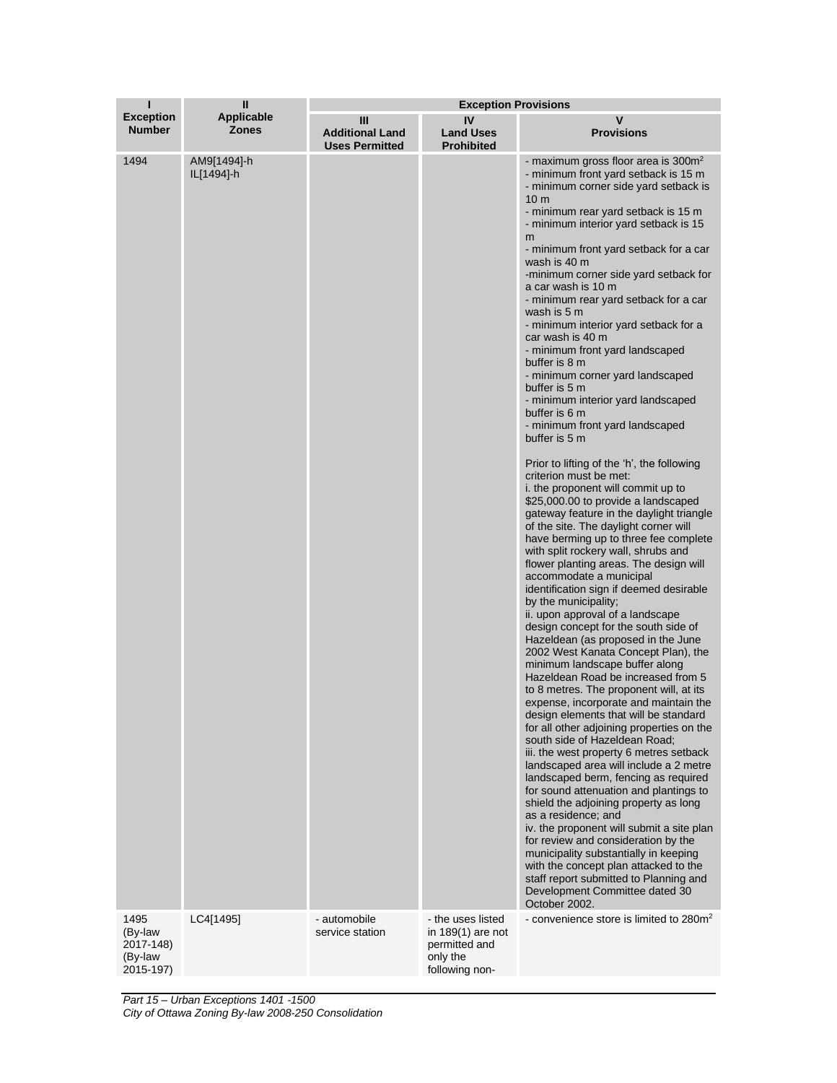| П                                            | Ш                                      | <b>Exception Provisions</b>                          |                                                                  |                                                                                                                                                                                                                                                                                                                                                                                                                                                                                                                                                                                                                                                                                                                                                                                                                                                                                                                                                                                                                                                                                                                                                                                                                                                                                                                                                                                                                                                                                                                                                                                                                                                                                                                                                                                                                                                                                                                                                                                                                                                                                                                                                                                  |
|----------------------------------------------|----------------------------------------|------------------------------------------------------|------------------------------------------------------------------|----------------------------------------------------------------------------------------------------------------------------------------------------------------------------------------------------------------------------------------------------------------------------------------------------------------------------------------------------------------------------------------------------------------------------------------------------------------------------------------------------------------------------------------------------------------------------------------------------------------------------------------------------------------------------------------------------------------------------------------------------------------------------------------------------------------------------------------------------------------------------------------------------------------------------------------------------------------------------------------------------------------------------------------------------------------------------------------------------------------------------------------------------------------------------------------------------------------------------------------------------------------------------------------------------------------------------------------------------------------------------------------------------------------------------------------------------------------------------------------------------------------------------------------------------------------------------------------------------------------------------------------------------------------------------------------------------------------------------------------------------------------------------------------------------------------------------------------------------------------------------------------------------------------------------------------------------------------------------------------------------------------------------------------------------------------------------------------------------------------------------------------------------------------------------------|
| <b>Exception</b><br><b>Number</b>            | <b>Applicable</b><br><b>Zones</b>      | Ш<br><b>Additional Land</b><br><b>Uses Permitted</b> | IV<br><b>Land Uses</b><br><b>Prohibited</b>                      | V<br><b>Provisions</b>                                                                                                                                                                                                                                                                                                                                                                                                                                                                                                                                                                                                                                                                                                                                                                                                                                                                                                                                                                                                                                                                                                                                                                                                                                                                                                                                                                                                                                                                                                                                                                                                                                                                                                                                                                                                                                                                                                                                                                                                                                                                                                                                                           |
| 1494<br>1495                                 | AM9[1494]-h<br>IL[1494]-h<br>LC4[1495] | - automobile                                         | - the uses listed                                                | - maximum gross floor area is $300m^2$<br>- minimum front yard setback is 15 m<br>- minimum corner side yard setback is<br>10 <sub>m</sub><br>- minimum rear yard setback is 15 m<br>- minimum interior yard setback is 15<br>m<br>- minimum front yard setback for a car<br>wash is 40 m<br>-minimum corner side yard setback for<br>a car wash is 10 m<br>- minimum rear yard setback for a car<br>wash is 5 m<br>- minimum interior yard setback for a<br>car wash is 40 m<br>- minimum front yard landscaped<br>buffer is 8 m<br>- minimum corner yard landscaped<br>buffer is 5 m<br>- minimum interior yard landscaped<br>buffer is 6 m<br>- minimum front yard landscaped<br>buffer is 5 m<br>Prior to lifting of the 'h', the following<br>criterion must be met:<br>i. the proponent will commit up to<br>\$25,000.00 to provide a landscaped<br>gateway feature in the daylight triangle<br>of the site. The daylight corner will<br>have berming up to three fee complete<br>with split rockery wall, shrubs and<br>flower planting areas. The design will<br>accommodate a municipal<br>identification sign if deemed desirable<br>by the municipality;<br>ii. upon approval of a landscape<br>design concept for the south side of<br>Hazeldean (as proposed in the June<br>2002 West Kanata Concept Plan), the<br>minimum landscape buffer along<br>Hazeldean Road be increased from 5<br>to 8 metres. The proponent will, at its<br>expense, incorporate and maintain the<br>design elements that will be standard<br>for all other adjoining properties on the<br>south side of Hazeldean Road;<br>iii. the west property 6 metres setback<br>landscaped area will include a 2 metre<br>landscaped berm, fencing as required<br>for sound attenuation and plantings to<br>shield the adjoining property as long<br>as a residence; and<br>iv. the proponent will submit a site plan<br>for review and consideration by the<br>municipality substantially in keeping<br>with the concept plan attacked to the<br>staff report submitted to Planning and<br>Development Committee dated 30<br>October 2002.<br>- convenience store is limited to 280m <sup>2</sup> |
| (By-law<br>2017-148)<br>(By-law<br>2015-197) |                                        | service station                                      | in 189(1) are not<br>permitted and<br>only the<br>following non- |                                                                                                                                                                                                                                                                                                                                                                                                                                                                                                                                                                                                                                                                                                                                                                                                                                                                                                                                                                                                                                                                                                                                                                                                                                                                                                                                                                                                                                                                                                                                                                                                                                                                                                                                                                                                                                                                                                                                                                                                                                                                                                                                                                                  |